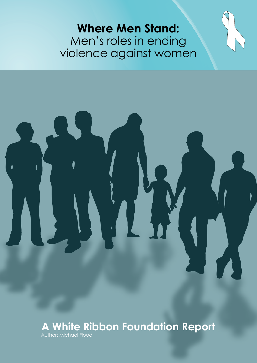# **Where Men Stand:**  Men's roles in ending violence against women

# **A White Ribbon Foundation Report**

Author: Michael Flood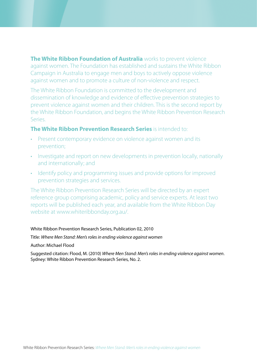**The White Ribbon Foundation of Australia** works to prevent violence against women. The Foundation has established and sustains the White Ribbon Campaign in Australia to engage men and boys to actively oppose violence against women and to promote a culture of non-violence and respect.

The White Ribbon Foundation is committed to the development and dissemination of knowledge and evidence of effective prevention strategies to prevent violence against women and their children. This is the second report by the White Ribbon Foundation, and begins the White Ribbon Prevention Research Series.

### **The White Ribbon Prevention Research Series** is intended to:

- Present contemporary evidence on violence against women and its prevention;
- Investigate and report on new developments in prevention locally, nationally and internationally; and
- Identify policy and programming issues and provide options for improved prevention strategies and services.

The White Ribbon Prevention Research Series will be directed by an expert reference group comprising academic, policy and service experts. At least two reports will be published each year, and available from the White Ribbon Day website at www.whiteribbonday.org.au/.

#### White Ribbon Prevention Research Series, Publication 02, 2010

Title: *Where Men Stand: Men's roles in ending violence against women*

Author: Michael Flood

Suggested citation: Flood, M. (2010) *Where Men Stand: Men's roles in ending violence against women*. Sydney: White Ribbon Prevention Research Series, No. 2.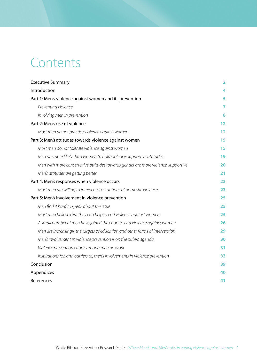# Contents

| <b>Executive Summary</b>                                                         | $\overline{\mathbf{2}}$ |
|----------------------------------------------------------------------------------|-------------------------|
| Introduction                                                                     | 4                       |
| Part 1: Men's violence against women and its prevention                          | 5                       |
| Preventing violence                                                              | 7                       |
| Involving men in prevention                                                      | 8                       |
| Part 2: Men's use of violence                                                    | 12                      |
| Most men do not practise violence against women                                  | 12                      |
| Part 3: Men's attitudes towards violence against women                           | 15                      |
| Most men do not tolerate violence against women                                  | 15                      |
| Men are more likely than women to hold violence-supportive attitudes             | 19                      |
| Men with more conservative attitudes towards gender are more violence-supportive | 20                      |
| Men's attitudes are getting better                                               | 21                      |
| Part 4: Men's responses when violence occurs                                     | 23                      |
| Most men are willing to intervene in situations of domestic violence             | 23                      |
| Part 5: Men's involvement in violence prevention                                 | 25                      |
| Men find it hard to speak about the issue                                        | 25                      |
| Most men believe that they can help to end violence against women                | 25                      |
| A small number of men have joined the effort to end violence against women       | 26                      |
| Men are increasingly the targets of education and other forms of intervention    | 29                      |
| Men's involvement in violence prevention is on the public agenda                 | 30                      |
| Violence prevention efforts among men do work                                    | 31                      |
| Inspirations for, and barriers to, men's involvements in violence prevention     | 33                      |
| Conclusion                                                                       | 39                      |
| Appendices                                                                       | 40                      |
| References                                                                       | 41                      |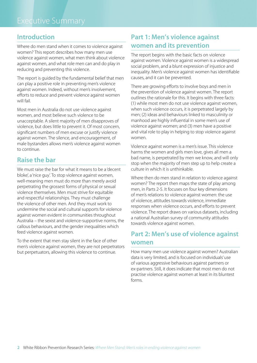### **Introduction**

Where do men stand when it comes to violence against women? This report describes how many men use violence against women, what men think about violence against women, and what role men can and do play in reducing and preventing this violence.

The report is guided by the fundamental belief that men can play a positive role in preventing men's violence against women. Indeed, without men's involvement, efforts to reduce and prevent violence against women will fail.

Most men in Australia do not use violence against women, and most believe such violence to be unacceptable. A silent majority of men disapproves of violence, but does little to prevent it. Of most concern, significant numbers of men excuse or justify violence against women. The silence, and encouragement, of male bystanders allows men's violence against women to continue.

### **Raise the bar**

We must raise the bar for what it means to be a 'decent' bloke', a 'nice guy'. To stop violence against women, well-meaning men must do more than merely avoid perpetrating the grossest forms of physical or sexual violence themselves. Men must strive for equitable and respectful relationships. They must challenge the violence of other men. And they must work to undermine the social and cultural supports for violence against women evident in communities throughout Australia – the sexist and violence-supportive norms, the callous behaviours, and the gender inequalities which feed violence against women.

To the extent that men stay silent in the face of other men's violence against women, they are not perpetrators but perpetuators, allowing this violence to continue.

### **Part 1: Men's violence against women and its prevention**

The report begins with the basic facts on violence against women. Violence against women is a widespread social problem, and a blunt expression of injustice and inequality. Men's violence against women has identifiable causes, and it can be prevented.

There are growing efforts to involve boys and men in the prevention of violence against women. The report outlines the rationale for this. It begins with three facts: (1) while most men do not use violence against women, when such violence occurs, it is perpetrated largely by men; (2) ideas and behaviours linked to masculinity or manhood are highly influential in some men's use of violence against women; and (3) men have a positive and vital role to play in helping to stop violence against women.

Violence against women is a men's issue. This violence harms the women and girls men love, gives all men a bad name, is perpetrated by men we know, and will only stop when the majority of men step up to help create a culture in which it is unthinkable.

Where then do men stand in relation to violence against women? The report then maps the state of play among men, in Parts 2-5. It focuses on four key dimensions of men's relations to violence against women: the use of violence, attitudes towards violence, immediate responses when violence occurs, and efforts to prevent violence. The report draws on various datasets, including a national Australian survey of community attitudes towards violence against women.

### **Part 2: Men's use of violence against women**

How many men use violence against women? Australian data is very limited, and is focused on individuals' use of various aggressive behaviours against partners or ex-partners. Still, it does indicate that most men do not practise violence against women at least in its bluntest forms.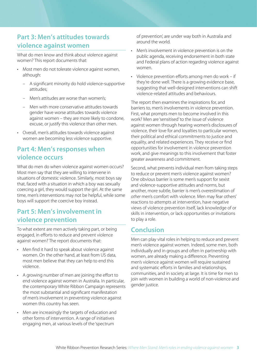### **Part 3: Men's attitudes towards violence against women**

What do men know and think about violence against women? This report documents that:

- Most men do not tolerate violence against women, although:
	- A significant minority do hold violence-supportive attitudes;
	- Men's attitudes are worse than women's;
	- Men with more conservative attitudes towards gender have worse attitudes towards violence against women – they are more likely to condone, excuse, or justify this violence than other men.
- • Overall, men's attitudes towards violence against women are becoming less violence supportive.

### **Part 4: Men's responses when violence occurs**

What do men do when violence against women occurs? Most men say that they are willing to intervene in situations of domestic violence. Similarly, most boys say that, faced with a situation in which a boy was sexually coercing a girl, they would support the girl. At the same time, men's interventions may not be helpful, while some boys will support the coercive boy instead.

### **Part 5: Men's involvement in violence prevention**

To what extent are men actively taking part, or being engaged, in efforts to reduce and prevent violence against women? The report documents that:

- Men find it hard to speak about violence against women. On the other hand, at least from US data, most men believe that they can help to end this violence.
- • A growing number of men are joining the effort to end violence against women in Australia. In particular, the contemporary White Ribbon Campaign represents the most substantial and significant manifestation of men's involvement in preventing violence against women this country has seen.
- Men are increasingly the targets of education and other forms of intervention. A range of initiatives engaging men, at various levels of the 'spectrum

of prevention', are under way both in Australia and around the world.

- Men's involvement in violence prevention is on the public agenda, receiving endorsement in both state and Federal plans of action regarding violence against women.
- Violence prevention efforts among men do work if they're done well. There is a growing evidence base, suggesting that well-designed interventions can shift violence-related attitudes and behaviours.

The report then examines the inspirations for, and barriers to, men's involvements in violence prevention. First, what prompts men to become involved in this work? Men are 'sensitised' to the issue of violence against women through hearing women's disclosures of violence, their love for and loyalties to particular women, their political and ethical commitments to justice and equality, and related experiences. They receive or find opportunities for involvement in violence prevention work, and give meanings to this involvement that foster greater awareness and commitment.

Second, what prevents individual men from taking steps to reduce or prevent men's violence against women? One obvious barrier is some men's support for sexist and violence-supportive attitudes and norms, but another, more subtle, barrier is men's overestimation of *other* men's comfort with violence. Men may fear others' reactions to attempts at intervention, have negative views of violence prevention itself, lack knowledge of or skills in intervention, or lack opportunities or invitations to play a role.

### **Conclusion**

Men can play vital roles in helping to reduce and prevent men's violence against women. Indeed, some men, both individually and in groups and often in partnership with women, are already making a difference. Preventing men's violence against women will require sustained and systematic efforts in families and relationships, communities, and in society at large. It is time for men to join with women in building a world of non-violence and gender justice.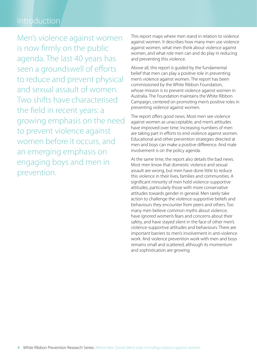## Introduction

Men's violence against women is now firmly on the public agenda. The last 40 years has seen a groundswell of efforts to reduce and prevent physical and sexual assault of women. Two shifts have characterised the field in recent years: a growing emphasis on the need to prevent violence against women before it occurs, and an emerging emphasis on engaging boys and men in prevention.

This report maps where men stand in relation to violence against women. It describes how many men use violence against women, what men think about violence against women, and what role men can and do play in reducing and preventing this violence.

Above all, this report is guided by the fundamental belief that men can play a positive role in preventing men's violence against women. The report has been commissioned by the White Ribbon Foundation, whose mission is to prevent violence against women in Australia. The Foundation maintains the White Ribbon Campaign, centered on promoting men's positive roles in preventing violence against women.

The report offers good news. Most men see violence against women as unacceptable, and men's attitudes have improved over time. Increasing numbers of men are taking part in efforts to end violence against women. Educational and other prevention strategies directed at men and boys can make a positive difference. And male involvement is on the policy agenda.

At the same time, the report also details the bad news. Most men know that domestic violence and sexual assault are wrong, but men have done little to reduce this violence in their lives, families and communities. A significant minority of men hold violence-supportive attitudes, particularly those with more conservative attitudes towards gender in general. Men rarely take action to challenge the violence-supportive beliefs and behaviours they encounter from peers and others. Too many men believe common myths about violence, have ignored women's fears and concerns about their safety, and have stayed silent in the face of other men's violence-supportive attitudes and behaviours. There are important barriers to men's involvement in anti-violence work. And violence prevention work with men and boys remains small and scattered, although its momentum and sophistication are growing.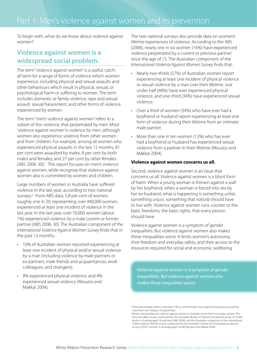## Part 1: Men's violence against women and its prevention

To begin with, what do we know about violence against women?

### **Violence against women is a widespread social problem.**

The term "violence against women" is a useful, catchall term for a range of forms of violence which women experience, including physical and sexual assaults and other behaviours which result in physical, sexual, or psychological harm or suffering to women. The term includes domestic or family violence, rape and sexual assault, sexual harassment, and other forms of violence experienced by women.

The term "*men's* violence against women" refers to a subset of this violence, that perpetrated by men. Most 'violence against women' is violence by men, although women also experience violence from other women and from children. For example, among all women who experienced physical assaults in the last 12 months, 81 per cent were assaulted by males, 8 per cent by both males and females, and 27 per cent by other females (ABS 2006: 30).<sup>1</sup> This report focuses on men's violence against women, while recognise that violence against women also is committed by women and children.

Large numbers of women in Australia have suffered violence in the last year, according to two national surveys.<sup>2</sup> From ABS data, 5.8 per cent of women, roughly one in 20, representing over 440,000 women, experienced at least one incident of violence in the last year. In the last year, over 70,000 women (about 1%) experienced violence by a male current or former partner (ABS 2006: 30). The Australian component of the *International Violence Against Women Survey* finds that in the past 12 months:

- • 10% of Australian women reported experiencing at least one incident of physical and/or sexual violence by a man (including violence by male partners or ex-partners, male friends and acquaintances, work colleagues, and strangers);
- 8% experienced physical violence, and 4% experienced sexual violence (Mouzos and Makkai 2004).

The two national surveys also provide data on women's *lifetime* experiences of violence. According to the ABS (2006), nearly one in six women (16%) have experienced violence perpetrated by a current or previous partner since the age of 15. The Australian component of the *International Violence Against Women Survey* finds that:

- Nearly two-thirds (57%) of Australian women report experiencing at least one incident of physical violence or sexual violence by a man over their lifetime. Just under half (48%) have ever experienced physical violence, and one-third (34%) have experienced sexual violence.
- Over a third of women (34%) who have ever had a boyfriend or husband report experiencing at least one form of violence during their lifetime from an intimate male partner.
- More than one in ten women (12%) who has ever had a boyfriend or husband has experienced sexual violence from a partner in their lifetime (Mouzos and Makkai 2004).

#### **Violence against women concerns us all.**

Second, violence against women is an issue that concerns us all. Violence against women is a blunt form of harm. When a young woman is thrown against a wall by her boyfriend, when a woman is forced into sex by her ex-husband, what is happening is something *unfair*, something *unjust,* something that *nobody* should have to live with. Violence against women runs counter to the basic freedoms, the basic rights, that every person should have.

Violence against women is a symptom of gender inequalities. But violence against women also makes these inequalities *worse*. It limits women's autonomy, their freedom and everyday safety, and their access to the resources required for social and economic wellbeing.

*Violence against women is a symptom of gender inequalities. But violence against women also makes these inequalities worse.*

<sup>&</sup>lt;sup>1</sup> These percentages add to more than 100 as some females have experienced physical assault by more than one category of perpetrator. 2 Recent national data on violence against women in Australia comes from two major surveys: The

Personal Safety Survey, conducted by the Australian Bureau of Statistics (a national survey of 16,400 adults in Australia aged 18 and over) (ABS 2006); and the Australian component of the *International Violence Against Women Survey*, conducted by the Australian Institute of Criminology (a national survey of 6,677 women in Australia aged 18-69) (Mouzos and Makkai 2004).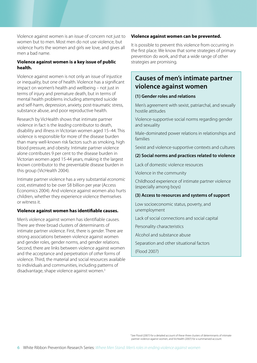Violence against women is an issue of concern not just to women but to men. Most men do not use violence, but violence hurts the women and girls we love, and gives all men a bad name.

#### **Violence against women is a key issue of public health.**

Violence against women is not only an issue of injustice or inequality, but one of health. Violence has a significant impact on women's health and wellbeing – not just in terms of injury and premature death, but in terms of mental health problems including attempted suicide and self-harm, depression, anxiety, post-traumatic stress, substance abuse, and poor reproductive health.

Research by VicHealth shows that intimate partner violence in fact is the *leading* contributor to death, disability and illness in Victorian women aged 15–44. This violence is responsible for more of the disease burden than many well-known risk factors such as smoking, high blood pressure, and obesity. Intimate partner violence alone contributes 9 per cent to the disease burden in Victorian women aged 15-44 years, making it the largest known contributor to the preventable disease burden in this group (VicHealth 2004).

Intimate partner violence has a very substantial *economic* cost, estimated to be over \$8 billion per year (Access Economics 2004). And violence against women also hurts children, whether they experience violence themselves or witness it.

#### **Violence against women has identifiable causes.**

Men's violence against women has identifiable causes. There are three broad clusters of determinants of intimate partner violence. First, there is *gender*. There are strong associations between violence against women and gender roles, gender norms, and gender relations. Second, there are links between violence against women and the acceptance and perpetration of *other* forms of violence. Third, the material and social resources available to individuals and communities, including patterns of disadvantage, shape violence against women.<sup>3</sup>

#### **Violence against women can be prevented.**

It is possible to prevent this violence from occurring in the first place. We know that some strategies of primary prevention do work, and that a wide range of other strategies are promising.

### **Causes of men's intimate partner violence against women**

#### **(1) Gender roles and relations**

Men's agreement with sexist, patriarchal, and sexually hostile attitudes

Violence-supportive social norms regarding gender and sexuality

Male-dominated power relations in relationships and families

Sexist and violence-supportive contexts and cultures

#### **(2) Social norms and practices related to violence**

Lack of domestic violence resources

Violence in the community

Childhood experience of intimate partner violence (especially among boys)

#### **(3) Access to resources and systems of support**

Low socioeconomic status, poverty, and unemployment

Lack of social connections and social capital

Personality characteristics

Alcohol and substance abuse

Separation and other situational factors

(Flood 2007)

<sup>3</sup> See Flood (2007) for a detailed account of these three clusters of determinants of intimate partner violence against women, and VicHealth (2007) for a summarised account.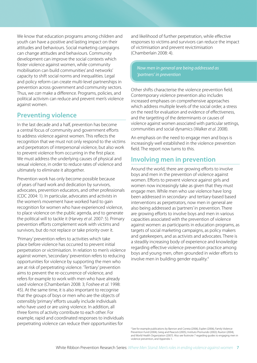We know that education programs among children and youth can have a positive and lasting impact on their attitudes and behaviours. Social marketing campaigns can change attitudes and behaviours. Community development can improve the social contexts which foster violence against women, while community mobilisation can build communities' and networks' capacity to shift social norms and inequalities. Legal and policy reform can create multi-level partnerships in prevention across government and community sectors. Thus, we *can* make a difference. Programs, policies, and political activism can reduce and prevent men's violence against women.

### **Preventing violence**

In the last decade and a half, prevention has become a central focus of community and government efforts to address violence against women. This reflects the recognition that we must not only respond to the victims and perpetrators of interpersonal violence, but also work to prevent violence from occurring in the first place. We must address the underlying causes of physical and sexual violence, in order to reduce rates of violence and ultimately to eliminate it altogether.

Prevention work has only become possible because of years of hard work and dedication by survivors, advocates, prevention educators, and other professionals (CDC 2004: 1). In particular, advocates and activists in the women's movement have worked hard to gain recognition for women who have experienced violence, to place violence on the public agenda, and to generate the political will to tackle it (Harvey *et al*. 2007: 5). Primary prevention efforts complement work with victims and survivors, but do not replace or take priority over it.

'Primary' prevention refers to activities which take place before violence has occurred to prevent initial perpetration or victimisation. In relation to men's violence against women, 'secondary' prevention refers to reducing opportunities for violence by supporting the men who are at risk of perpetrating violence. 'Tertiary' prevention aims to prevent the re-occurrence of violence, and refers for example to work with men who have already used violence (Chamberlain 2008: 3; Foshee *et al*. 1998: 45). At the same time, it is also important to recognise that the groups of boys or men who are the objects of ostensibly 'primary' efforts usually include individuals who have used or are using violence. In addition, all three forms of activity contribute to each other. For example, rapid and coordinated responses to individuals perpetrating violence can reduce their opportunities for

and likelihood of further perpetration, while effective responses to victims and survivors can reduce the impact of victimisation and prevent revictimisation (Chamberlain 2008: 4).

*Now men in general are being addressed as 'partners' in prevention*

Other shifts characterise the violence prevention field. Contemporary violence prevention also includes increased emphases on comprehensive approaches which address multiple levels of the social order, a stress on the need for evaluation and evidence of effectiveness, and the targetting of the determinants or causes of violence against women associated with particular settings, communities and social dynamics (Walker *et al*. 2008).

An emphasis on the need to engage men and boys is increasingly well established in the violence prevention field. The report now turns to this.

### **Involving men in prevention**

Around the world, there are growing efforts to involve boys and men in the prevention of violence against women. Efforts to prevent violence against girls and women now increasingly take as given that they must engage men. While men who use violence have long been addressed in secondary- and tertiary-based based interventions as perpetrators, now men in general are also being addressed as 'partners' in prevention. There are growing efforts to involve boys and men in various capacities associated with the prevention of violence against women: as participants in education programs, as targets of social marketing campaigns, as policy makers and gatekeepers, and as activists and advocates. There is a steadily increasing body of experience and knowledge regarding effective violence prevention practice among boys and young men, often grounded in wider efforts to involve men in building gender equality.4

<sup>4</sup> See for example publications by Bannon and Correia (2006), Esplen (2006), Family Violence Prevention Fund (2004), Greig and Peacock (2005), Instituto Promundo (2002), Ruxton (2004), and World Health Organization (2007). Also see footnote 7 regarding guides to engaging men in violence prevention, and Appendix 1.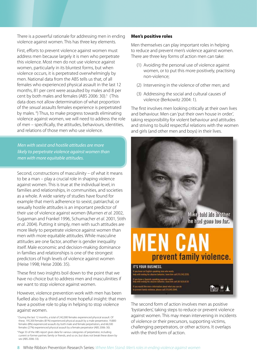There is a powerful rationale for addressing men in ending violence against women. This has three key elements.

First, efforts to prevent violence against women must address men because largely it is men who perpetrate this violence. Most men do not use violence against women, particularly in its bluntest forms, but when violence occurs, it is perpetrated overwhelmingly by men. National data from the ABS tells us that, of all females who experienced physical assault in the last 12 months, 81 per cent were assaulted by males and 8 per cent by both males and females (ABS 2006: 30).<sup>5</sup> (This data does not allow determination of what proportion of the *sexual* assaults females experience is perpetrated by males. 6 ) Thus, to make progress towards eliminating violence against women, we will need to address the role of *men* – specifically, the attitudes, behaviours, identities, and relations of those men who use violence.

*Men with sexist and hostile attitudes are more likely to perpetrate violence against women than men with more equitable attitudes.*

Second, constructions of masculinity – of what it means to be a man – play a crucial role in shaping violence against women. This is true at the individual level, in families and relationships, in communities, and societies as a whole. A wide variety of studies have found for example that men's adherence to sexist, patriarchal, or sexually hostile attitudes is an important predictor of their use of violence against women (Murnen *et al.* 2002, Sugarman and Frankel 1996, Schumacher *et al*. 2001, Stith *et al*. 2004). Putting it simply, men with such attitudes are more likely to perpetrate violence against women than men with more equitable attitudes. While masculine attitudes are one factor, another is gender inequality itself. Male economic and decision-making dominance in families and relationships is one of the strongest predictors of high levels of violence against women (Heise 1998; Heise 2006: 35).

These first two insights boil down to the point that we have no choice but to address men and masculinities if we want to stop violence against women.

However, violence prevention work with men has been fuelled also by a third and more hopeful insight: that men have a positive role to play in helping to stop violence against women.

5 During the last 12 months, a total of 242,000 females experienced physical assault. Of these, 195,300 females (81%) experienced physical assault by a male perpetrator, 19,800 females (8%) experienced assaults by both male and female perpetrators, and 66,500 females (27%) experienced physical assault by a female perpetrator (ABS 2006: 30). <sup>6</sup> Page 33 of the ABS report gives data for various categories of perpetrator, including current or former partner, family or friends, and so on, but does not break these down by sex (ABS 2006: 33).

#### **Men's positive roles**

Men themselves can play important roles in helping to reduce and prevent men's violence against women. There are three key forms of action men can take:

- (1) Avoiding the personal use of violence against women, or to put this more positively, practising non-violence;
- (2) Intervening in the violence of other men; and
- (3) Addressing the social and cultural causes of violence (Berkowitz 2004: 1).

The first involves men looking critically at their own lives and behaviour. Men can 'put their own house in order', taking responsibility for violent behaviour and attitudes and striving to build respectful relations with the women and girls (and other men and boys) in their lives.



.<br>If you would Ske more information about what you can do<br>to grovent tamby violence, please call 215,843,2044.

The second form of action involves men as positive 'bystanders', taking steps to reduce or prevent violence against women. This may mean intervening in incidents of violence or their precursors, supporting victims, challenging perpetrators, or other actions. It overlaps with the third form of action.

**The E**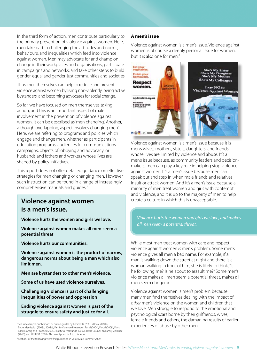In the third form of action, men contribute particularly to the primary prevention of violence against women. Here, men take part in challenging the attitudes and norms, behaviours, and inequalities which feed into violence against women. Men may advocate for and champion change in their workplaces and organisations, participate in campaigns and networks, and take other steps to build gender-equal and gender-just communities and societies.

Thus, men themselves can help to reduce and prevent violence against women by living non-violently, being active bystanders, and becoming advocates for social change.

So far, we have focused on men themselves taking action, and this is an important aspect of male involvement in the prevention of violence against women. It can be described as'men changing'. Another, although overlapping, aspect involves 'changing men'. Here, we are referring to programs and policies which engage and change men, whether as participants in education programs, audiences for communications campaigns, objects of lobbying and advocacy, or husbands and fathers and workers whose lives are shaped by policy initiatives.

This report does not offer detailed guidance on effective strategies for men changing or changing men. However, such instruction can be found in a range of increasingly comprehensive manuals and guides.7

### **Violence against women is a men's issue.**

**Violence hurts the women and girls we love.**

**Violence against women makes all men seem a potential threat**

**Violence hurts our communities.**

**Violence against women is the product of narrow, dangerous norms about being a man which also limit men.**

**Men are bystanders to other men's violence.**

**Some of us have used violence ourselves.**

**Challenging violence is part of challenging inequalities of power and oppression**

**Ending violence against women is part of the struggle to ensure safety and justice for all.**

<sup>7</sup> See for example publications or online guides by Berkowitz (2001, 2004a, 2004b), EngenderHealth (2008a, 2008b), Family Violence Prevention Fund (2004), Flood (2009), Funk (2006), Greig and Peacock (2005), Instituto Promundo (2002), Texas Council on Family Violence (2010), and UNIFEM (2010). Also see Appendix 1 to this report.

8 Sections of the following were first published in Voice Male, Summer 2009.

#### **A men's issue**

Violence against women is a men's issue. Violence against women is of course a deeply personal issue for women, but it is also one for men.<sup>8</sup>



Violence against women is a men's issue because it is men's wives, mothers, sisters, daughters, and friends whose lives are limited by violence and abuse. It's a men's issue because, as community leaders and decisionmakers, men can play a key role in helping stop violence against women. It's a men's issue because men can speak out and step in when male friends and relatives insult or attack women. And it's a men's issue because a minority of men treat women and girls with contempt and violence, and it is up to the majority of men to help create a culture in which this is unacceptable.

*Violence hurts the women and girls we love, and makes all men seem a potential threat.*

While most men treat women with care and respect, violence against women *is* men's problem. Some men's violence gives all men a bad name. For example, if a man is walking down the street at night and there is a woman walking in front of him, she is likely to think,"Is he following me? Is he about to assault me?" Some men's violence makes all men seem a potential threat, makes all men seem dangerous.

Violence against women is men's problem because many men find themselves dealing with the impact of *other* men's violence on the women and children that we love. Men struggle to respond to the emotional and psychological scars borne by their girlfriends, wives, female friends and others, the damaging results of earlier experiences of abuse by other men.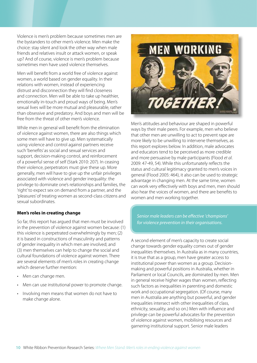Violence is men's problem because sometimes men are the bystanders to other men's violence. Men make the choice: stay silent and look the other way when male friends and relatives insult or attack women, or speak up? And of course, violence is men's problem because sometimes men have used violence themselves.

Men will benefit from a world free of violence against women, a world based on gender equality. In their relations with women, instead of experiencing distrust and disconnection they will find closeness and connection. Men will be able to take up healthier, emotionally in-touch and proud ways of being. Men's sexual lives will be more mutual and pleasurable, rather than obsessive and predatory. And boys and men will be free from the threat of other men's violence.

While men in general will benefit from the elimination of violence against women, there are also things which some men will have to give up. Men systematically using violence and control against partners receive such 'benefits' as social and sexual services and support, decision-making control, and reinforcement of a powerful sense of self (Stark 2010: 207). In ceasing their violence, perpetrators must give these up. More generally, men will have to give up the unfair privileges associated with violence and gender inequality: the privilege to dominate one's relationships and families, the 'right' to expect sex on demand from a partner, and the 'pleasures' of treating women as second-class citizens and sexual subordinates.

#### **Men's roles in creating change**

So far, this report has argued that men must be involved in the prevention of violence against women because: (1) this violence is perpetrated overwhelmingly by men; (2) it is based in constructions of masculinity and patterns of gender inequality in which men are involved; and (3) men themselves can help to change the social and cultural foundations of violence against women. There are several elements of men's roles in creating change which deserve further mention:

- Men can change men.
- Men can use institutional power to promote change.
- Involving men means that women do not have to make change alone.



Men's attitudes and behaviour are shaped in powerful ways by their male peers. For example, men who believe that other men are unwilling to act to prevent rape are more likely to be unwilling to intervene themselves, as this report explores below. In addition, male advocates and educators tend to be perceived as more credible and more persuasive by male participants (Flood *et al*. 2009: 47-49, 54). While this unfortunately reflects the status and cultural legitimacy granted to men's voices in general (Flood 2005: 464), it also can be used to strategic advantage in changing men. At the same time, women can work very effectively with boys and men, men should also hear the voices of women, and there are benefits to women and men working together.

*Senior male leaders can be effective 'champions' for violence prevention in their organisations.*

A second element of men's capacity to create social change towards gender equality comes out of gender inequalities themselves. In Australia as in many countries, it is true that as a group, men have greater access to institutional power than women as a group. Decisionmaking and powerful positions in Australia, whether in Parliament or local Councils, are dominated by men. Men in general receive higher wages than women, reflecting such factors as inequalities in parenting and domestic work and occupational segregation. (Of course, many men in Australia are anything but powerful, and gender inequalities intersect with other inequalities of class, ethnicity, sexuality, and so on.) Men with influence and privilege can be powerful advocates for the prevention of violence against women, mobilising resources and garnering institutional support. Senior male leaders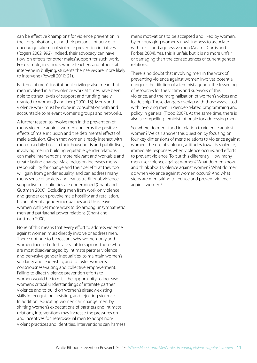can be effective 'champions' for violence prevention in their organisations, using their personal influence to encourage take-up of violence prevention initiatives (Rogers 2002: 992). Indeed, their advocacy can have flow-on effects for other males' support for such work. For example, in schools where teachers and other staff intervene in bullying, students themselves are more likely to intervene (Powell 2010: 21).

Patterns of men's institutional privilege also mean that men involved in anti-violence work at times have been able to attract levels of support and funding rarely granted to women (Landsberg 2000: 15). Men's antiviolence work must be done in consultation with and accountable to relevant women's groups and networks.

A further reason to involve men in the prevention of men's violence against women concerns the positive effects of male inclusion and the detrimental effects of male exclusion. Given that women already interact with men on a daily basis in their households and public lives, involving men in building equitable gender relations can make interventions more relevant and workable and create lasting change. Male inclusion increases men's responsibility for change and their belief that they too will gain from gender equality, and can address many men's sense of anxiety and fear as traditional, violencesupportive masculinities are undermined (Chant and Guttman 2000). Excluding men from work on violence and gender can provoke male hostility and retaliation. It can intensify gender inequalities and thus leave women with yet more work to do among unsympathetic men and patriarchal power relations (Chant and Guttman 2000).

None of this means that every effort to address violence against women must directly involve or address men. There continue to be reasons why women-only and women-focused efforts are vital: to support those who are most disadvantaged by intimate partner violence and pervasive gender inequalities, to maintain women's solidarity and leadership, and to foster women's consciousness-raising and collective empowerment. Failing to direct violence prevention efforts to women would be to miss the opportunity to increase women's critical understandings of intimate partner violence and to build on women's already-existing skills in recognising, resisting, and rejecting violence. In addition, educating women can change men: by shifting women's expectations of partners and intimate relations, interventions may increase the pressures on and incentives for heterosexual men to adopt nonviolent practices and identities. Interventions can harness men's motivations to be accepted and liked by women, by encouraging women's unwillingness to associate with sexist and aggressive men (Adams-Curtis and Forbes 2004). Yes, this is unfair, but it is no more unfair or damaging than the consequences of current gender relations.

There is no doubt that involving men in the work of preventing violence against women involves potential dangers: the dilution of a feminist agenda, the lessening of resources for the victims and survivors of this violence, and the marginalisation of women's voices and leadership. These dangers overlap with those associated with involving men in gender-related programming and policy in general (Flood 2007). At the same time, there is also a compelling feminist rationale for addressing men.

So, where do men stand in relation to violence against women? We can answer this question by focusing on four key dimensions of men's relations to violence against women: the use of violence, attitudes towards violence, immediate responses when violence occurs, and efforts to prevent violence. To put this differently: How many men use violence against women? What do men know and think about violence against women? What do men do when violence against women occurs? And what steps are men taking to reduce and prevent violence against women?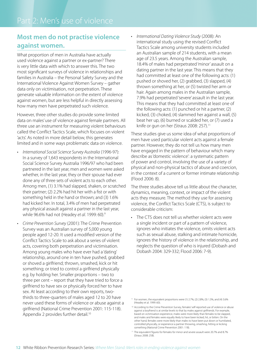### **Most men do not practise violence against women.**

What proportion of men in Australia have actually used violence against a partner or ex-partner? There is very little data with which to answer this. The two most significant surveys of violence in relationships and families in Australia – the Personal Safety Survey and the International Violence Against Women Survey – gather data only on victimisation, not perpetration. These generate valuable information on the extent of violence against women, but are less helpful in directly assessing how many men have perpetrated such violence.

However, three other studies do provide some limited data on males' use of violence against female partners. All three use an instrument for measuring violent behaviours called the Conflict Tactics Scale, which focuses on violent 'acts'. As noted in more detail below, this generates limited and in some ways problematic data on violence.

- • *International Social Science Survey Australia* (1996-97): In a survey of 1,643 respondents in the International Social Science Survey Australia 1996/97 who had been partnered in the last year, men and women were asked whether, in the last year, they or their spouse had ever done any of three sets of violent acts to each other. Among men, (1) 3.1% had slapped, shaken, or scratched their partner; (2) 2.2% had hit her with a fist or with something held in the hand or thrown; and (3) 1.6% had kicked her. In total, 3.4% of men had perpetrated any physical assault against a partner in the last year, while 96.6% had not (Headey *et al*. 1999: 60).9
- Crime Prevention Survey (2001): The Crime Prevention Survey was an Australian survey of 5,000 young people aged 12-20. It used a modified version of the Conflict Tactics Scale to ask about a series of violent acts, covering both perpetration and victimisation. Among young males who have ever had a 'dating' relationship, around one in ten have pushed, grabbed or shoved a girlfriend; thrown, smashed, kick or hit something; or tried to control a girlfriend physically e.g. by holding her. Smaller proportions – two to three per cent – report that they have tried to force a girlfriend to have sex or physically forced her to have sex. At least according to their own reports, twothirds to three-quarters of males aged 12 to 20 have never used these forms of violence or abuse against a girlfriend (National Crime Prevention 2001: 115-118). Appendix 2 provides further detail.<sup>10</sup>

• *International Dating Violence Study* (2008): An international study using the revised Conflict Tactics Scale among university students included an Australian sample of 214 students, with a mean age of 23.5 years. Among the Australian sample, 18.4% of males had perpetrated 'minor' assault on a dating partner in the last year. This means that they had committed at least one of the following acts: (1) pushed or shoved her, (2) grabbed, (3) slapped, (4) thrown something at her, or (5) twisted her arm or hair. Again among males in the Australian sample, 7.9% had perpetrated 'severe' assault in the last year. This means that they had committed at least one of the following acts: (1) punched or hit a partner, (2) kicked, (3) choked, (4) slammed her against a wall, (5) beat her up, (6) burned or scalded her, or (7) used a knife or gun on her (Straus 2008: 257).<sup>11</sup>

These studies give us some idea of what proportions of men have used particular violent acts against a female partner. However, they do not tell us how many men have engaged in the pattern of behaviour which many describe as 'domestic violence': a systematic pattern of power and control, involving the use of a variety of physical and non-physical tactics of abuse and coercion, in the context of a current or former intimate relationship (Flood 2006: 8).

The three studies above tell us little about the character, dynamics, meaning, context, or impact of the violent acts they measure. The method they use for assessing violence, the Conflict Tactics Scale (CTS), is subject to considerable criticism:

The CTS does not tell us whether violent acts were a single incident or part of a pattern of violence, ignores who initiates the violence, omits violent acts such as sexual abuse, stalking and intimate homicide, ignores the history of violence in the relationship, and neglects the question of who is injured (Dobash and Dobash 2004: 329-332; Flood 2006: 7-9).

<sup>9</sup> For women, the equivalent proportions were (1) 2.7%, (2) 2.8%, (3) 1.3%, and (4) 3.6% (Headey et al. 1999: 60).

<sup>&</sup>lt;sup>10</sup> According to the Crime Prevention Survey, females' self-reported use of violence or abuse against a boyfriend is at similar levels to that by males against girlfriends. For example, based on victimisation experience, males were more likely than females to be slapped, and males and females were equally likely to have been kicked, hit, or bitten. On the other hand, females were more likely than males to have been put down or humiliated, controlled physically, or experience a partner throwing, smashing, hitting or kicking something (National Crime Prevention 2001: 118).

<sup>11</sup> The equivalent figures for females for minor and severe assault were 20.7% and 8.7% (Straus 2008: 258).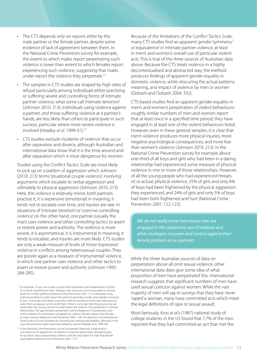- • The CTS depends only on reports *either* by the male partner *or* the female partner, despite some evidence of lack of agreement between them. In the National Crime Prevention survey for example, the extent to which males report perpetrating such violence is lower than extent to which females report experiencing such violence, suggesting that males under-report the violence they perpetrate.<sup>12</sup>
- The samples in CTS studies are shaped by high rates of refusal particularly among individuals either practising or suffering severe and controlling forms of intimate partner violence, what some call 'intimate terrorism' (Johnson 2010: 213). Individuals using violence against a partner, *and* those suffering violence at a partner's hands, are less likely than others to participate in such surveys, particular where more severe violence is involved (Headey *et al*. 1999: 61).13
- • CTS studies exclude incidents of violence that occur after separation and divorce, although Australian and international data show that it is the time around and after separation which is most dangerous for women.

Studies using the Conflict Tactics Scale are most likely to pick up on a pattern of aggression which Johnson (2010: 213) terms 'situational couple violence', involving arguments which escalate to verbal aggression and ultimately to physical aggression (Johnson 2010: 213). Here, the violence is relatively minor, both partners practise it, it is expressive (emotional) in meaning, it tends not to escalate over time, and injuries are rare. In situations of 'intimate terrorism' or 'coercive controlling violence' on the other hand, one partner (usually the man) uses violence and other controlling tactics to assert or restore power and authority. The violence is more severe, it is asymmetrical, it is instrumental in meaning, it tends to escalate, and injuries are more likely. CTS studies are only a weak measure of levels of minor 'expressive' violence in conflicts among heterosexual couples. They are poorer again as a measure of 'instrumental' violence, in which one partner uses violence and other tactics to assert or restore power and authority (Johnson 1995: 284-285).

<sup>13</sup> In the National Crime Prevention survey for example, there was a high level of non-response for experiences of violence in intimate relationships and particularly for questions about perpetrating violence, and this was higher for male than female respondents (National Crime Prevention 2001: 117).

Because of the limitations of the Conflict Tactics Scale, many CTS studies find an apparent gender 'symmetry' or 'equivalence' in intimate partner violence, at least in men's and women's overall use of particular violent acts. This is true of the three sources of Australian data above. Because the CTS treats violence in a highly decontextualised and abstracted way, the method produces findings of apparent gender equality in domestic violence, while obscuring the actual patterns, meaning, and impact of violence by men or women (Dobash and Dobash 2004: 332).

CTS-based studies find an *apparent* gender equality in men's and women's perpetration of violent behaviours: roughly similar numbers of men and women report that at least once in a specified time period, they have engaged in at least one of the violent behaviours listed. However, even in these general samples, it is clear that men's violence produces more physical injuries, more negative psychological consequences, and more fear than women's violence (Johnson 2010: 213). In the National Crime Prevention survey for example, about one-third of all boys and girls who had been in a dating relationship had experienced some measure of physical violence in one or more of those relationships. However, of all the young people who had experienced threats of, or actual, physical violence, 25% of girls and only 6% of boys had been frightened by the physical aggression they experienced, and 24% of girls and only 5% of boys had been both frightened and hurt (National Crime Prevention 2001: 122-123).

*We do not really know how many men are engaged in the systematic use of violence and other strategies of power and control against their female partners or ex-partners.*

While the three Australian sources of data on perpetration above all omit sexual violence, other international data does give some idea of what proportion of men have perpetrated this. International research suggests that significant numbers of men have used sexual coercion against women. While the vast majority of men will say in surveys that they have never 'raped' a woman, many have committed acts which meet the legal definitions of rape or sexual assault.

Most famously, Koss *et al*.'s (1987) national study of college students in the US found that 7.7% of the men reported that they had committed an act that met the

<sup>&</sup>lt;sup>12</sup> For example, 19 per cent of girls say that their boyfriends have threatened to hit them or to throw something at them, whereas only seven per cent of boys admit to having done this to their girlfriend (National Crime Prevention 2001: 117). Individuals using violence are likely to under-report this given its generally socially unacceptable character. In turn, victims are more likely to perceive violence and abuse when they take place, to name them as abusive, and to recall them. There is some sign here that young men are more likely than young women to under-report the violence they perpetrate in intimate relationships. The gap between perpetrators' acknowledgment of perpetration and victims' reports of victimisation was greater for male-to-female violence than femaleto-male violence (National Crime Prevention 2001: 118). The data from the International Social Science Survey Australia also showed poor interspousal reliability, although in this case with potential under-reporting instead by women (Headey et al. 1999: 60).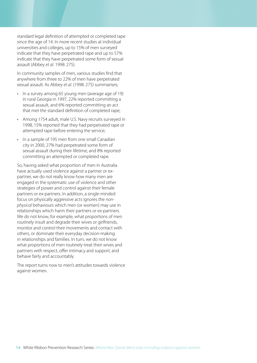standard legal definition of attempted or completed rape since the age of 14. In more recent studies at individual universities and colleges, up to 15% of men surveyed indicate that they have perpetrated rape and up to 57% indicate that they have perpetrated some form of sexual assault (Abbey *et al*. 1998: 275).

In community samples of men, various studies find that anywhere from three to 22% of men have perpetrated sexual assault. As Abbey *et al*. (1998: 275) summarises;

- In a survey among 65 young men (average age of 19) in rural Georgia in 1997, 22% reported committing a sexual assault, and 6% reported committing an act that met the standard definition of completed rape;
- Among 1754 adult, male U.S. Navy recruits surveyed in 1998, 15% reported that they had perpetrated rape or attempted rape before entering the service;
- In a sample of 195 men from one small Canadian city in 2000, 27% had perpetrated some form of sexual assault during their lifetime, and 8% reported committing an attempted or completed rape.

So, having asked what proportion of men in Australia have actually used violence against a partner or expartner, we do not really know how many men are engaged in the systematic use of violence and other strategies of power and control against their female partners or ex-partners. In addition, a single-minded focus on physically aggressive acts ignores the *nonphysical* behaviours which men (or women) may use in relationships which harm their partners or ex-partners. We do not know, for example, what proportions of men routinely insult and degrade their wives or girlfriends, monitor and control their movements and contact with others, or dominate their everyday decision-making in relationships and families. In turn, we do not know what proportions of men routinely treat their wives and partners with respect, offer intimacy and support, and behave fairly and accountably.

The report turns now to men's attitudes towards violence against women.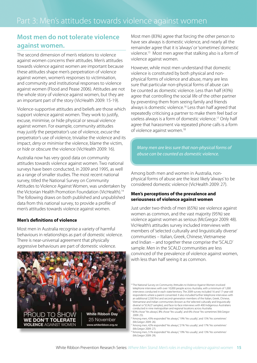### **Most men do not tolerate violence against women.**

The second dimension of men's relations to violence against women concerns their attitudes. Men's attitudes towards violence against women are important because these attitudes shape men's perpetration of violence against women, women's responses to victimisation, and community and institutional responses to violence against women (Flood and Pease 2006). Attitudes are not the whole story of violence against women, but they are an important part of the story (VicHealth 2009: 15-19).

Violence-supportive attitudes and beliefs are those which support violence against women. They work to justify, excuse, minimise, or hide physical or sexual violence against women. For example, community attitudes may *justify* the perpetrator's use of violence, *excuse* the perpetrator's use of violence, trivialise the violence and its impact, *deny* or *minimise* the violence, blame the victim, or *hide* or obscure the violence (VicHealth 2009: 16).

Australia now has very good data on community attitudes towards violence against women. Two national surveys have been conducted, in 2009 and 1995, as well as a range of smaller studies. The most recent national survey, titled the National Survey on Community Attitudes to Violence Against Women, was undertaken by the Victorian Health Promotion Foundation (VicHealth).<sup>14</sup> The following draws on both published and unpublished data from this national survey, to provide a profile of men's attitudes towards violence against women.

#### **Men's definitions of violence**

Most men in Australia recognise a variety of harmful behaviours in relationships as part of domestic violence. There is near-universal agreement that physically aggressive behaviours are part of domestic violence.



Most men (83%) agree that forcing the other person to have sex always is domestic violence, and nearly all the remainder agree that it is 'always' or 'sometimes' domestic violence.15 Most men agree that stalking also is a form of violence against women.

However, while most men understand that domestic violence is constituted by both physical and nonphysical forms of violence and abuse, many are less sure that particular non-physical forms of abuse can be counted as domestic violence. Less than half (43%) agree that controlling the social life of the other partner by preventing them from seeing family and friends always is domestic violence.16 Less than half agreed that repeatedly criticising a partner to make them feel bad or useless always is a form of domestic violence.<sup>17</sup> Only half agree that harassment via repeated phone calls is a form of violence against women.<sup>18</sup>

*Many men are less sure that non-physical forms of abuse can be counted as domestic violence.*

Among both men and women in Australia, nonphysical forms of abuse are the least likely 'always' to be considered domestic violence (VicHealth 2009: 27).

#### **Men's perceptions of the prevalence and seriousness of violence against women**

Just under two-thirds of men (65%) see violence against women as common, and the vast majority (95%) see violence against women as serious (McGregor 2009: 48). VicHealth's attitudes survey included interviews with members of 'selected culturally and linguistically diverse' communities – Italian, Greek, Chinese, Vietnamese and Indian – and together these comprise the 'SCALD' sample. Men in the SCALD communities are less convinced of the prevalence of violence against women, with less than half seeing it as common.

<sup>14</sup>The National Survey on Community Attitudes to Violence Against Women involved telephone interviews with over 10,000 people across Australia, with a minimum of 1,000 interviews conducted in each state/territory. The 2009 survey included 16 and 17-year-old respondents where a parent consented. It also included further telephone interviews with an additional 2,500 first and second-generation members of the Italian, Greek, Chinese, Vietnamese and Indian communities (known as the 'selected culturally and linguistically diverse'or'SCALD'samples), and face-to-face interviews with 400 Indigenous Australians conducted in nine metropolitan and regional locations across Australia.

<sup>&</sup>lt;sup>5</sup> 83% chose 'Yes always', 8% chose 'Yes usually', and 6% chose 'Yes sometimes' (McGregor 2009: 25).

<sup>&</sup>lt;sup>6</sup> Among men, 43% responded 'Yes always', '19% 'Yes usually', and 15% 'Yes sometimes' (McGregor 2009: 26).

<sup>&#</sup>x27; Among men, 42% responded 'Yes always', '21% 'Yes usually', and 17% 'Yes sometimes' (McGregor 2009: 27).

<sup>18</sup> Among men, 51% responded 'Yes always', '19% 'Yes usually', and 13% 'Yes sometimes' (McGregor 2009: 29).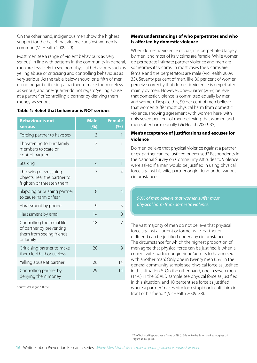On the other hand, indigenous men show the highest support for the belief that violence against women is common (VicHealth 2009: 29).

Most men see a range of violent behaviours as 'very serious'. In line with patterns in the community in general, men are less likely to see non-physical behaviours such as yelling abuse or criticising and controlling behaviours as very serious. As the table below shows, one-fifth of men do not regard 'criticising a partner to make them useless' as serious, and one-quarter do not regard 'yelling abuse at a partner' or 'controlling a partner by denying them money' as serious.

#### **Table 1: Belief that behaviour is NOT serious**

| <b>Behaviour is not</b><br><b>serious</b>                                                        | <b>Male</b><br>$(\overline{\frac{9}{6}})$ | <b>Female</b><br>(%) |
|--------------------------------------------------------------------------------------------------|-------------------------------------------|----------------------|
| Forcing partner to have sex                                                                      | 3                                         | 1                    |
| Threatening to hurt family<br>members to scare or<br>control partner                             | 3                                         | 1                    |
| Stalking                                                                                         | $\overline{4}$                            | $\mathbf{1}$         |
| Throwing or smashing<br>objects near the partner to<br>frighten or threaten them                 | 7                                         | 4                    |
| Slapping or pushing partner<br>to cause harm or fear                                             | 8                                         | $\overline{4}$       |
| Harassment by phone                                                                              | 9                                         | 5                    |
| Harassment by email                                                                              | 14                                        | 8                    |
| Controlling the social life<br>of partner by preventing<br>them from seeing friends<br>or family | 18                                        | 7                    |
| Criticising partner to make<br>them feel bad or useless                                          | 20                                        | 9                    |
| Yelling abuse at partner                                                                         | 26                                        | 14                   |
| Controlling partner by<br>denying them money                                                     | 29                                        | 14                   |

Source: McGregor 2009: 50

#### **Men's understandings of who perpetrates and who is affected by domestic violence**

When domestic violence occurs, it is perpetrated largely by men, and most of its victims are female. While women do perpetrate intimate partner violence and men are sometimes its victims, in most cases the victims are female and the perpetrators are male (VicHealth 2009: 33). Seventy per cent of men, like 80 per cent of women, perceive correctly that domestic violence is perpetrated mainly by men. However, one-quarter (26%) believe that domestic violence is committed equally by men and women. Despite this, 90 per cent of men believe that women suffer most physical harm from domestic violence, showing agreement with women here, with only seven per cent of men believing that women and men suffer harm equally (VicHealth 2009: 35).

#### **Men's acceptance of justifications and excuses for violence**

Do men believe that physical violence against a partner or ex-partner can be justified or excused? Respondents in the National Survey on Community Attitudes to Violence were asked if a man would be justified in using physical force against his wife, partner or girlfriend under various circumstances.

*90% of men believe that women suffer most physical harm from domestic violence.*

The vast majority of men do not believe that physical force against a current or former wife, partner or girlfriend can be justified under any circumstances. The circumstance for which the highest proportion of men agree that physical force can be justified is when a current wife, partner or girlfriend 'admits to having sex with another man'. Only one in twenty men (5%) in the general community sample see physical force as justified in this situation.<sup>19</sup> On the other hand, one in seven men (14%) in the SCALD sample see physical force as justified in this situation, and 10 percent see force as justified where a partner 'makes him look stupid or insults him in front of his friends' (VicHealth 2009: 38).

<sup>19</sup> The Technical Report gives a figure of 5% (p. 56), while the Summary Report gives this figure as 4% (p. 38).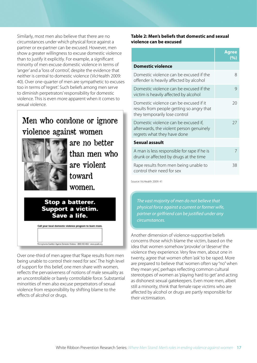Similarly, most men also believe that there are no circumstances under which physical force against a partner or ex-partner can be excused. However, men show a greater willingness to excuse domestic violence than to justify it explicitly. For example, a significant minority of men excuse domestic violence in terms of 'anger' and a 'loss of control', despite the evidence that neither is central to domestic violence (VicHealth 2009: 40). Over one-quarter of men are sympathetic to excuses too in terms of 'regret'. Such beliefs among men serve to diminish perpetrators' responsibility for domestic violence. This is even more apparent when it comes to sexual violence.

## Men who condone or ignore violence against women



are no better than men who are violent toward women.

### Stop a batterer. Support a victim. Save a life.

Call your local domestic violence program to learn more

-<br>Pennsylvania Coalition Against Domestic Violence - (800) 932-4632 - www.pcadv.org

Over one-third of men agree that 'Rape results from men being unable to control their need for sex'. The high level of support for this belief, one men share with women, reflects the pervasiveness of notions of male sexuality as an uncontrollable or barely controllable force. Substantial minorities of men also excuse perpetrators of sexual violence from responsibility by shifting blame to the effects of alcohol or drugs.

### **Table 2: Men's beliefs that domestic and sexual violence can be excused**

|                                                                                                                      | <b>Agree</b><br>(%) |
|----------------------------------------------------------------------------------------------------------------------|---------------------|
| <b>Domestic violence</b>                                                                                             |                     |
| Domestic violence can be excused if the<br>offender is heavily affected by alcohol                                   | 8                   |
| Domestic violence can be excused if the<br>victim is heavily affected by alcohol                                     | 9                   |
| Domestic violence can be excused if it<br>results from people getting so angry that<br>they temporarily lose control | 20                  |
| Domestic violence can be excused if,<br>afterwards, the violent person genuinely<br>regrets what they have done      | 27                  |
| Sexual assault                                                                                                       |                     |
| A man is less responsible for rape if he is<br>drunk or affected by drugs at the time                                | 7                   |
| Rape results from men being unable to<br>control their need for sex                                                  | 38                  |
|                                                                                                                      |                     |

Source: VicHealth 2009: 41

*The vast majority of men do not believe that physical force against a current or former wife, partner or girlfriend can be justified under any circumstances.*

Another dimension of violence-supportive beliefs concerns those which blame the victim, based on the idea that women somehow 'provoke' or 'deserve' the violence they experience. Very few men, about one in twenty, agree that women often 'ask' to be raped. More are prepared to believe that 'women often say "no" when they mean yes', perhaps reflecting common cultural stereotypes of women as 'playing hard to get' and acting as dishonest sexual gatekeepers. Even more men, albeit still a minority, think that female rape victims who are affected by alcohol or drugs are partly responsible for their victimisation.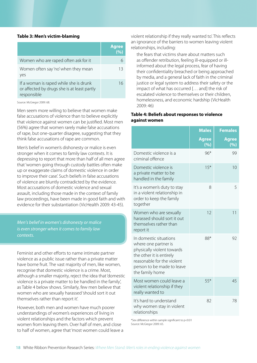#### **Table 3: Men's victim-blaming**

|                                                                                                      | Agree<br>(%) |
|------------------------------------------------------------------------------------------------------|--------------|
| Women who are raped often ask for it                                                                 |              |
| Women often say 'no' when they mean<br>yes                                                           | 13           |
| If a woman is raped while she is drunk<br>or affected by drugs she is at least partly<br>responsible |              |

Source: McGregor 2009: 68.

Men seem more willing to believe that women make false accusations of violence than to believe explicitly that violence against women can be justified. Most men (56%) agree that women rarely make false accusations of rape, but one-quarter disagree, suggesting that they think false accusations of rape are common.

Men's belief in women's dishonesty or malice is even stronger when it comes to family law contexts. It is depressing to report that more than half of all men agree that 'women going through custody battles often make up or exaggerate claims of domestic violence in order to improve their case'. Such beliefs in false accusations of violence are bluntly contradicted by the evidence. Most accusations of domestic violence and sexual assault, including those made in the context of family law proceedings, have been made in good faith and with evidence for their substantiation (VicHealth 2009: 43-45).

*Men's belief in women's dishonesty or malice is even stronger when it comes to family law contexts.*

Feminist and other efforts to name intimate partner violence as a public issue rather than a private matter have borne fruit. The vast majority of men, like women, recognise that domestic violence is a crime. Most, although a smaller majority, reject the idea that 'domestic violence is a private matter to be handled in the family', as Table 4 below shows. Similarly, few men believe that women who are sexually harassed 'should sort it out themselves rather than report it'.

However, both men and women have much poorer understandings of women's experiences of living in violent relationships and the factors which prevent women from leaving them. Over half of men, and close to half of women, agree that 'most women could leave a violent relationship if they really wanted to'. This reflects an ignorance of the barriers to women leaving violent relationships, including:

 the fears that victims share about matters such as offender retribution, feeling ill-equipped or illinformed about the legal process, fear of having their confidentiality breached or being approached by media, and a general lack of faith in the criminal justice or legal system to address their safety or the impact of what has occurred [… and] the risk of escalated violence to themselves or their children, homelessness, and economic hardship (VicHealth 2009: 46)

#### **Table 4: Beliefs about responses to violence against women**

|                                                                                                                                                                                         | <b>Males</b>        | <b>Females</b>      |
|-----------------------------------------------------------------------------------------------------------------------------------------------------------------------------------------|---------------------|---------------------|
|                                                                                                                                                                                         | <b>Agree</b><br>(%) | <b>Agree</b><br>(%) |
| Domestic violence is a<br>criminal offence                                                                                                                                              | $96*$               | 99                  |
| Domestic violence is<br>a private matter to be<br>handled in the family                                                                                                                 | $15*$               | 10                  |
| It's a women's duty to stay<br>in a violent relationship in<br>order to keep the family<br>together                                                                                     | 8                   | 5                   |
| Women who are sexually<br>harassed should sort it out<br>themselves rather than<br>report it                                                                                            | 12                  | 11                  |
| In domestic situations<br>where one partner is<br>physically violent towards<br>the other it is entirely<br>reasonable for the violent<br>person to be made to leave<br>the family home | $88*$               | 92                  |
| Most women could leave a<br>violent relationship if they<br>really wanted to                                                                                                            | $55*$               | 45                  |
| It's hard to understand<br>why women stay in violent<br>relationships                                                                                                                   | 82                  | 78                  |

\*Sex difference within sample significant to p<0.01 Source: McGregor 2009: 65.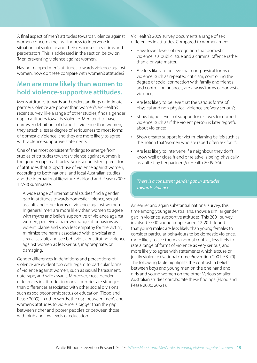A final aspect of men's attitudes towards violence against women concerns their willingness to intervene in situations of violence and their responses to victims and perpetrators. This is addressed in the section below on 'Men preventing violence against women'.

Having mapped men's attitudes towards violence against women, how do these compare with women's attitudes?

### **Men are more likely than women to hold violence-supportive attitudes.**

Men's attitudes towards and understandings of intimate partner violence are poorer than women's. VicHealth's recent survey, like a range of other studies, finds a gender gap in attitudes towards violence. Men tend to have narrower definitions of domestic violence than women, they attach a lesser degree of seriousness to most forms of domestic violence, and they are more likely to agree with violence-supportive statements.

One of the most consistent findings to emerge from studies of attitudes towards violence against women is the gender gap in attitudes. Sex is a consistent predictor of attitudes that support use of violence against women, according to both national and local Australian studies and the international literature. As Flood and Pease (2009: 127-8) summarise,

 A wide range of international studies find a gender gap in attitudes towards domestic violence, sexual assault, and other forms of violence against women. In general, men are more likely than women to agree with myths and beliefs supportive of violence against women, perceive a narrower range of behaviors as violent, blame and show less empathy for the victim, minimize the harms associated with physical and sexual assault, and see behaviors constituting violence against women as less serious, inappropriate, or damaging.

Gender differences in definitions and perceptions of violence are evident too with regard to particular forms of violence against women, such as sexual harassment, date rape, and wife assault. Moreover, cross-gender differences in attitudes in many countries are stronger than differences associated with other social divisions such as socioeconomic status or education (Flood and Pease 2009). In other words, the gap between men's and women's attitudes to violence is bigger than the gap between richer and poorer people's or between those with high and low levels of education.

VicHealth's 2009 survey documents a range of sex differences in attitudes. Compared to women, men:

- Have lower levels of recognition that domestic violence is a public issue and a criminal offence rather than a private matter;
- Are less likely to believe that non-physical forms of violence, such as repeated criticism, controlling the degree of social connection with family and friends and controlling finances, are 'always' forms of domestic violence;
- Are less likely to believe that the various forms of physical and non-physical violence are 'very serious';
- Show higher levels of support for excuses for domestic violence, such as if the violent person is later regretful about violence;
- Show greater support for victim-blaming beliefs such as the notion that 'women who are raped often ask for it';
- • Are less likely to intervene if a neighbour they don't know well or close friend or relative is being physically assaulted by her partner (VicHealth 2009: 56).

*There is a consistent gender gap in attitudes towards violence.*

An earlier and again substantial national survey, this time among younger Australians, shows a similar gender gap in violence-supportive attitudes. This 2001 survey involved 5,000 young people aged 12-20. It found that young males are less likely than young females to consider particular behaviours to be domestic violence, more likely to see them as normal conflict, less likely to rate a range of forms of violence as very serious, and more likely to agree with statements which excuse or justify violence (National Crime Prevention 2001: 58-70). The following table highlights the contrast in beliefs between boys and young men on the one hand and girls and young women on the other. Various smaller Australian studies corroborate these findings (Flood and Pease 2006: 20-21).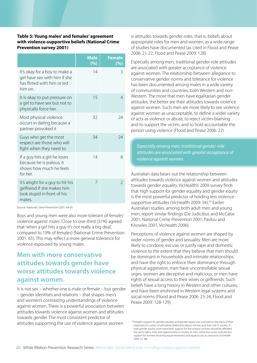#### **Table 5: Young males' and females' agreement with violence-supportive beliefs (National Crime Prevention survey 2001)**

|                                                                                                           | <b>Male</b><br>$(\overline{\%})$ | <b>Female</b><br>(%) |
|-----------------------------------------------------------------------------------------------------------|----------------------------------|----------------------|
| It's okay for a boy to make a<br>girl have sex with him if she<br>has flirted with him or led<br>him on.  | 14                               | 3                    |
| It is okay to put pressure on<br>a girl to have sex but not to<br>physically force her.                   | 15                               | $\overline{4}$       |
| Most physical violence<br>occurs in dating because a<br>partner provoked it                               | 32                               | 24                   |
| Guys who get the most<br>respect are those who will<br>fight when they need to.                           | 34                               | 24                   |
| If a guy hits a girl he loves<br>because he is jealous, it<br>shows how much he feels<br>for her.         | 14                               | 8                    |
| It's alright for a guy to hit his<br>girlfriend if she makes him<br>look stupid in front of his<br>mates. | 7                                | V                    |

Source: National Crime Prevention 2001: 64-65

Boys and young men were also more tolerant of *females*' violence against *males*. Close to one-third (31%) agreed that 'when a girl hits a guy it's not really a big deal', compared to 19% of females) (National Crime Prevention 2001: 65). This may reflect a more general tolerance for violence espoused by young males.

### **Men with more conservative attitudes towards gender have worse attitudes towards violence against women.**

It is not sex – whether one is male or female – but gender – gender identities and relations – that shapes men's and women's contrasting understandings of violence against women. There is a powerful association between attitudes towards violence against women and attitudes towards gender. The most consistent predictor of attitudes supporting the use of violence against women

is attitudes towards gender roles, that is, beliefs about appropriate roles for men and women, as a wide range of studies have documented (as cited in Flood and Pease 2006: 21-22; Flood and Pease 2009: 128).

Especially among men, traditional gender-role attitudes are associated with greater acceptance of violence against women. The relationship between allegiance to conservative gender norms and tolerance for violence has been documented among males in a wide variety of communities and countries, both Western and non-Western. The more that men have egalitarian gender attitudes, the better are their attitudes towards violence against women. Such men are more likely to see violence against women as unacceptable, to define a wider variety of acts as violence or abuse, to reject victim-blaming and to support the victim, and to hold accountable the person using violence (Flood and Pease 2006: 22).

*Especially among men, traditional gender-role attitudes are associated with greater acceptance of violence against women.*

Australian data bears out the relationship between attitudes towards violence against women and attitudes towards gender equality. VicHealth's 2009 survey finds that high support for gender equality and gender equity is the most powerful predictor of holding less violencesupportive attitudes (VicHealth 2009: 54).<sup>20</sup> Earlier Australian studies, among both adult men and young men, report similar findings (De Judicibus and McCabe 2001; National Crime Prevention 2001; Pavlou and Knowles 2001; VicHealth 2006).

Perceptions of violence against women are shaped by wider norms of gender and sexuality. Men are more likely to condone, excuse, or justify rape and domestic violence to the extent that they believe that men should be dominant in households and intimate relationships and have the right to enforce their dominance through physical aggression, men have uncontrollable sexual urges, women are deceptive and malicious, or men have rights of sexual access to their wives or girlfriends. Such beliefs have a long history in Western and other cultures, and have been enshrined in Western legal systems and social norms (Flood and Pease 2006: 23-24; Flood and Pease 2009: 128-129).

<sup>&</sup>lt;sup>20</sup> People's support for gender equality and gender equity was assessed on the basis of their responses to a series of attitudinal statements about women and their role in society. A high gender equity score represents support for the notions women should be afforded the same rights, roles and opportunities in society as men, while low scores indicate less support for women receiving equal treatment and equal access to resources (VicHealth 2009: 27, 68).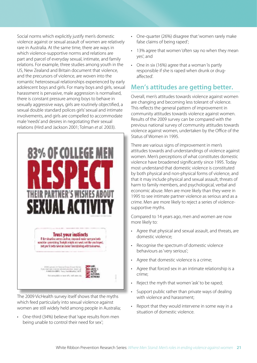Social norms which explicitly justify men's domestic violence against or sexual assault of women are relatively rare in Australia. At the same time, there are ways in which violence-supportive norms and relations are part and parcel of everyday sexual, intimate, and family relations. For example, three studies among youth in the US, New Zealand and Britain document that violence, and the precursors of violence, are woven into the romantic heterosexual relationships experienced by early adolescent boys and girls. For many boys and girls, sexual harassment is pervasive, male aggression is normalised, there is constant pressure among boys to behave in sexually aggressive ways, girls are routinely objectified, a sexual double standard polices girls' sexual and intimate involvements, and girls are compelled to accommodate male 'needs' and desires in negotiating their sexual relations (Hird and Jackson 2001; Tolman *et al*. 2003).



The 2009 VicHealth survey itself shows that the myths which feed particularly into sexual violence against women are still widely held among people in Australia;

• One-third (34%) believe that 'rape results from men being unable to control their need for sex';

- • One-quarter (26%) disagree that'women rarely make false claims of being raped';
- 13% agree that women 'often say no when they mean yes'; and
- One in six (16%) agree that a woman 'is partly responsible if she is raped when drunk or drugaffected'.

### **Men's attitudes are getting better.**

Overall, men's attitudes towards violence against women are changing and becoming less tolerant of violence. This reflects the general pattern of improvement in community attitudes towards violence against women. Results of the 2009 survey can be compared with the previous national survey of community attitudes towards violence against women, undertaken by the Office of the Status of Women in 1995.

There are various signs of improvement in men's attitudes towards and understandings of violence against women. Men's perceptions of what constitutes domestic violence have broadened significantly since 1995. Today most understand that domestic violence is constituted by both physical and non-physical forms of violence, and that it may include physical and sexual assault, threats of harm to family members, and psychological, verbal and economic abuse. Men are more likely than they were in 1995 to see intimate partner violence as serious and as a crime. Men are more likely to reject a series of violencesupportive myths.

Compared to 14 years ago, men and women are now more likely to:

- Agree that physical and sexual assault, and threats, are domestic violence;
- Recognise the spectrum of domestic violence behaviours as 'very serious';
- Agree that domestic violence is a crime;
- Agree that forced sex in an intimate relationship is a crime;
- Reject the myth that women 'ask' to be raped:
- Support public rather than private ways of dealing with violence and harassment;
- Report that they would intervene in some way in a situation of domestic violence.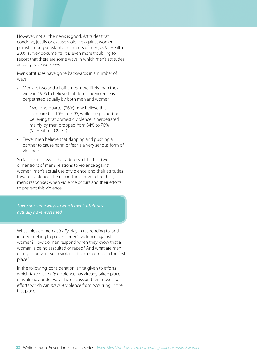However, not all the news is good. Attitudes that condone, justify or excuse violence against women persist among substantial numbers of men, as VicHealth's 2009 survey documents. It is even more troubling to report that there are some ways in which men's attitudes actually have *worsened*.

Men's attitudes have gone backwards in a number of ways;

- Men are two and a half times more likely than they were in 1995 to believe that domestic violence is perpetrated equally by both men and women.
	- Over one-quarter (26%) now believe this, compared to 10% in 1995, while the proportions believing that domestic violence is perpetrated mainly by men dropped from 84% to 70% (VicHealth 2009: 34).
- Fewer men believe that slapping and pushing a partner to cause harm or fear is a 'very serious' form of violence.

So far, this discussion has addressed the first two dimensions of men's relations to violence against women: men's actual use of violence, and their attitudes towards violence. The report turns now to the third, men's responses when violence occurs and their efforts to prevent this violence.

*There are some ways in which men's attitudes actually have worsened.*

What roles do men *actually* play in responding to, and indeed seeking to prevent, men's violence against women? How do men respond when they know that a woman is being assaulted or raped? And what are men doing to prevent such violence from occurring in the first place?

In the following, consideration is first given to efforts which take place *after* violence has already taken place or is already under way. The discussion then moves to efforts which can *prevent* violence from occurring in the first place.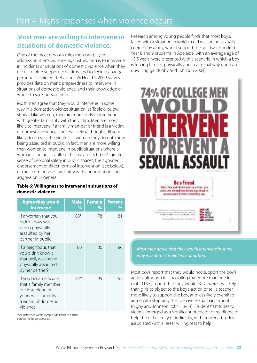### **Most men are willing to intervene in situations of domestic violence.**

One of the most obvious roles men can play in addressing men's violence against women is to intervene in incidents or situations of domestic violence when they occur, to offer support to victims, and to seek to change perpetrators' violent behaviour. VicHealth's 2009 survey provides data on men's preparedness to intervene in situations of domestic violence, and their knowledge of where to seek outside help.

Most men agree that they would intervene in some way in a domestic violence situation, as Table 6 below shows. Like women, men are more likely to intervene with greater familiarity with the victim. Men are most likely to intervene if a family member or friend is a victim of domestic violence, and less likely (although still very likely) to do so if the victim is a woman they do not know being assaulted in public. In fact, men are more willing than women to intervene in public situations where a woman is being assaulted. This may reflect men's greater sense of personal safety in public spaces, their greater endorsement of direct forms of intervention (see below), or their comfort and familiarity with confrontation and aggression in general.

#### **Table 6: Willingness to intervene in situations of domestic violence**

| <b>Agree they would</b><br>intervene                                                                                         | <b>Male</b><br>$\%$ | <b>Female</b><br>$\%$ | <b>Persons</b><br>$\%$ |
|------------------------------------------------------------------------------------------------------------------------------|---------------------|-----------------------|------------------------|
| If a woman that you<br>didn't know was<br>being physically<br>assaulted by her<br>partner in public                          | 83*                 | 78                    | 81                     |
| If a neighbour, that<br>you didn't know all<br>that well, was being<br>physically assaulted<br>by her partner?               | 86                  | 86                    | 86                     |
| If you became aware<br>that a family member<br>or close friend of<br>yours was currently<br>a victim of domestic<br>violence | 94*                 | 95                    | 95                     |

\*Sex difference within sample significant to p<0.01 Source: McGregor 2009: 81.

Research among young people finds that most boys, faced with a situation in which a girl was being sexually coerced by a boy, would support the girl. Two-hundred Year 8 and 9 students in Adelaide, with an average age of 13.5 years, were presented with a scenario in which a boy is forcing himself physically and in a sexual way upon an unwilling girl (Rigby and Johnson 2004).



*Most men agree that they would intervene in some way in a domestic violence situation.*

Most boys report that they would not support the boy's action, although it is troubling that more than one in eight (13%) report that they would. Boys were less likely than girls to object to the boy's action or tell a teacher, more likely to support the boy, and less likely overall to agree with stopping the coercive sexual harassment (Rigby and Johnson 2004: 13-14). Students' attitudes to victims emerged as a significant predictor of readiness to help the girl directly or indirectly, with poorer attitudes associated with a lesser willingness to help.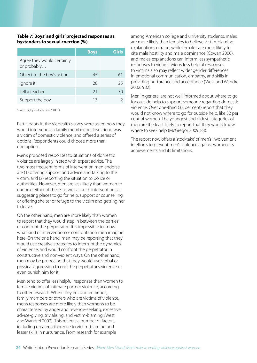#### **Table 7: Boys' and girls' projected responses as bystanders to sexual coercion (%)**

|                                           | <b>Boys</b> | Girls |
|-------------------------------------------|-------------|-------|
| Agree they would certainly<br>or probably |             |       |
| Object to the boy's action                | 45          | 61    |
| Ignore it                                 | 28          | 25    |
| Tell a teacher                            | 21          | 30    |
| Support the boy                           | 13          |       |

Source: Rigby and Johnson 2004: 14

Participants in the VicHealth survey were asked how they would intervene if a family member or close friend was a victim of domestic violence, and offered a series of options. Respondents could choose more than one option.

Men's proposed responses to situations of domestic violence are largely in step with expert advice. The two most frequent forms of intervention men endorse are (1) offering support and advice and talking to the victim; and (2) reporting the situation to police or authorities. However, men are less likely than women to endorse either of these, as well as such interventions as suggesting places to go for help, support or counselling, or offering shelter or refuge to the victim and getting her to leave.

On the other hand, men are more likely than women to report that they would 'step in between the parties' or'confront the perpetrator'. It is impossible to know what kind of intervention or confrontation men imagine here. On the one hand, men may be reporting that they would use creative strategies to interrupt the dynamics of violence, and would confront the perpetrator in constructive and non-violent ways. On the other hand, men may be proposing that they would use verbal or physical aggression to end the perpetrator's violence or even punish him for it.

Men tend to offer less helpful responses than women to female victims of intimate partner violence, according to other research. When they encounter friends, family members or others who are victims of violence, men's responses are more likely than women's to be characterised by anger and revenge-seeking, excessive advice-giving, trivialising, and victim-blaming (West and Wandrei 2002). This reflects a number of factors, including greater adherence to victim-blaming and lesser skills in nurturance. From research for example

among American college and university students, males are more likely than females to believe victim-blaming explanations of rape, while females are more likely to cite male hostility and male dominance (Cowan 2000), and males' explanations can inform less sympathetic responses to victims. Men's less helpful responses to victims also may reflect wider gender differences in emotional communication, empathy, and skills in providing nurturance and acceptance (West and Wandrei 2002: 982).

Men in general are not well informed about where to go for outside help to support someone regarding domestic violence. Over one-third (38 per cent) report that they would not know where to go for outside help, like 32 per cent of women. The youngest and oldest categories of men are the least likely to report that they would know where to seek help (McGregor 2009: 83).

The report now offers a 'stocktake' of men's involvement in efforts to prevent men's violence against women, its achievements and its limitations.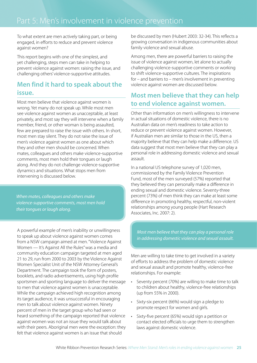To what extent are men actively taking part, or being engaged, in efforts to reduce and prevent violence against women?

This report begins with one of the simplest, and yet challenging, steps men can take in helping to prevent violence against women: raising the issue, and challenging others' violence-supportive attitudes.

### **Men find it hard to speak about the issue.**

Most men believe that violence against women is wrong. Yet many do not speak up. While most men see violence against women as unacceptable, at least privately, and most say they will intervene when a family member, friend, or other woman is being assaulted, few are prepared to raise the issue with others. In short, most men stay silent. They do not raise the issue of men's violence against women as one about which they and other men should be concerned. When mates, colleagues and others make violence-supportive comments, most men hold their tongues or laugh along. And they do not challenge violence-supportive dynamics and situations. What stops men from intervening is discussed below.

*When mates, colleagues and others make violence-supportive comments, most men hold their tongues or laugh along.*

A powerful example of men's inability or unwillingness to speak up about violence against women comes from a NSW campaign aimed at men."Violence Against Women — It's Against All the Rules"was a media and community education campaign targeted at men aged 21 to 29, run from 2000 to 2003 by the Violence Against Women Specialist Unit of the NSW Attorney General's Department. The campaign took the form of posters, booklets, and radio advertisements, using high profile sportsmen and sporting language to deliver the message to men that violence against women is unacceptable. While the campaign achieved high recognition among its target audience, it was unsuccessful in encouraging men to talk about violence against women. Ninety percent of men in the target group who had seen or heard something of the campaign reported that violence against women was not an issue they would talk about with their peers. Aboriginal men were the exception: they felt that violence against women is an issue that should

be discussed by men (Hubert 2003: 32-34). This reflects a growing conversation in indigenous communities about family violence and sexual abuse.

Among men, there are powerful barriers to raising the issue of violence against women, let alone to actually challenging violence-supportive comments or working to shift violence-supportive cultures. The inspirations for – and barriers to – men's involvement in preventing violence against women are discussed below.

### **Most men believe that they can help to end violence against women.**

Other than information on men's willingness to intervene in actual situations of domestic violence, there is no Australian data on men's readiness to take action to reduce or prevent violence against women. However, if Australian men are similar to those in the US, then a majority believe that they can help make a difference. US data suggest that most men believe that they can play a personal role in addressing domestic violence and sexual assault.

In a national US telephone survey of 1,020 men, commissioned by the Family Violence Prevention Fund, most of the men surveyed (57%) reported that they believed they can personally make a difference in ending sexual and domestic violence. Seventy-three percent (73%) of men think they can make at least some difference in promoting healthy, respectful, non-violent relationships among young people (Hart Research Associates, Inc. 2007: 2).

*Most men believe that they can play a personal role in addressing domestic violence and sexual assault.*

Men are willing to take time to get involved in a variety of efforts to address the problem of domestic violence and sexual assault and promote healthy, violence-free relationships. For example:

- • Seventy percent (70%) are willing to make time to talk to children about healthy, violence-free relationships (up from 55% in 2000).
- • Sixty-six percent (66%) would sign a pledge to promote respect for women and girls.
- • Sixty-five percent (65%) would sign a petition or contact elected officials to urge them to strengthen laws against domestic violence.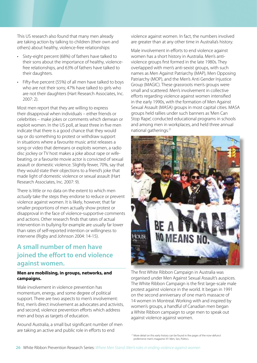This US research also found that many men already are taking action by talking to children (their own and others) about healthy, violence-free relationships:

- Sixty-eight percent (68%) of fathers have talked to their sons about the importance of healthy, violencefree relationships, and 63% of fathers have talked to their daughters.
- Fifty-five percent (55%) of all men have talked to boys who are not their sons; 47% have talked to girls who are not their daughters (Hart Research Associates, Inc. 2007: 2).

Most men report that they are willing to express their disapproval when individuals – either friends or celebrities – make jokes or comments which demean or exploit women. In the US poll, at least three in five men indicate that there is a good chance that they would say or do something to protest or withdraw support in situations where a favourite music artist releases a song or video that demeans or exploits women, a radio disc jockey or TV host makes a joke about rape or wifebeating, or a favourite movie actor is convicted of sexual assault or domestic violence. Slightly fewer, 70%, say that they would state their objections to a friend's joke that made light of domestic violence or sexual assault (Hart Research Associates, Inc. 2007: 9).

There is little or no data on the extent to which men *actually* take the steps they endorse to reduce or prevent violence against women. It is likely, however, that far smaller proportions of men actually show protest or disapproval in the face of violence-supportive comments and actions. Other research finds that rates of actual intervention in bullying for example are usually far lower than rates of self-reported intention or willingness to intervene (Rigby and Johnson 2004: 14-15).

### **A small number of men have joined the effort to end violence against women.**

#### **Men are mobilising, in groups, networks, and campaigns.**

Male involvement in violence prevention has momentum, energy, and some degree of political support. There are two aspects to men's involvement: first, men's direct involvement as advocates and activists, and second, violence prevention efforts which address men and boys as targets of education.

Around Australia, a small but significant number of men are taking an active and public role in efforts to end

violence against women. In fact, the numbers involved are greater than at any other time in Australia's history.

Male involvement in efforts to end violence against women has a short history in Australia. Men's antiviolence groups first formed in the late 1980s. They overlapped with men's anti-sexist groups, with such names as Men Against Patriarchy (MAP), Men Opposing Patriarchy (MOP), and the Men's Anti Gender Injustice Group (MAGIC). These grassroots men's groups were small and scattered. Men's involvement in collective efforts regarding violence against women intensified in the early 1990s, with the formation of Men Against Sexual Assault (MASA) groups in most capital cities. MASA groups held rallies under such banners as 'Men Can Stop Rape', conducted educational programs in schools and among men in workplaces, and held three annual national gatherings.21



The first White Ribbon Campaign in Australia was organised under Men Against Sexual Assault's auspices. The White Ribbon Campaign is the first large-scale male protest against violence in the world. It began in 1991 on the second anniversary of one man's massacre of 14 women in Montreal. Working with and inspired by women's groups, a handful of Canadian men began a White Ribbon campaign to urge men to speak out against violence against women.

<sup>21</sup> More detail on this early history can be found in the pages of the now-defunct profeminist men's magazine XY: Men, Sex, Politics.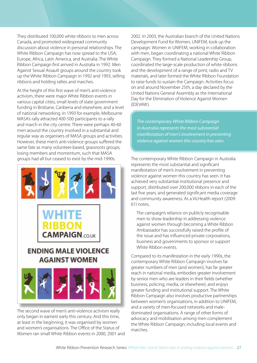They distributed 100,000 white ribbons to men across Canada, and promoted widespread community discussion about violence in personal relationships. The White Ribbon Campaign has now spread to the USA, Europe, Africa, Latin America, and Australia. The White Ribbon Campaign first arrived in Australia in 1992. Men Against Sexual Assault groups around the country took up the White Ribbon Campaign in 1992 and 1993, selling ribbons and holding rallies and marches.

At the height of this first wave of men's anti-violence activism, there were major White Ribbon events in various capital cities, small levels of state government funding in Brisbane, Canberra and elsewhere, and a level of national networking. In 1993 for example, Melbourne MASA's rally attracted 400-500 participants to a rally and march in the city centre. There were perhaps 40-60 men around the country involved in a substantial and regular way as organisers of MASA groups and activities. However, these men's anti-violence groups suffered the same fate as many volunteer-based, grassroots groups, losing members and momentum, such that MASA groups had all but ceased to exist by the mid-1990s.



The second wave of men's anti-violence activism really only began in earnest early this century. And this time, at least in the beginning, it was organised by women and women's organisations. The Office of the Status of Women ran small White Ribbon events in 2000, 2001 and 2002. In 2003, the Australian branch of the United Nations Development Fund for Women, UNIFEM, took up the campaign. Women in UNIFEM, working in collaboration with men, began coordinating a national White Ribbon Campaign. They formed a National Leadership Group, coordinated the large-scale production of white ribbons and the development of a range of print, radio and TV materials, and later formed the White Ribbon Foundation to raise funds to sustain the Campaign. Activities focus on and around November 25th, a day declared by the United Nations General Assembly as the International Day for the Elimination of Violence Against Women (IDEVAW).

*The contemporary White Ribbon Campaign in Australia represents the most substantial manifestation of men's involvement in preventing violence against women this country has seen.*

The contemporary White Ribbon Campaign in Australia represents the most substantial and significant manifestation of men's involvement in preventing violence against women this country has seen. It has achieved very substantial institutional presence and support, distributed over 200,000 ribbons in each of the last five years, and generated significant media coverage and community awareness. As a VicHealth report (2009: 61) notes,

 The campaign's reliance on publicly recognisable men to show leadership in addressing violence against women through becoming a White Ribbon Ambassador has successfully raised the profile of the issue and has influenced private corporations, business and governments to sponsor or support White Ribbon events.

Compared to its manifestation in the early 1990s, the contemporary White Ribbon Campaign involves far greater numbers of men (and women), has far greater reach in national media, embodies greater involvement by senior men who are leaders in their fields (whether business, policing, media, or elsewhere), and enjoys greater funding and institutional support. The White Ribbon Campaign also involves productive partnerships between women's organisations, in addition to UNIFEM, and a variety of men-focused networks and maledominated organisations. A range of other forms of advocacy and mobilisation among men complement the White Ribbon Campaign, including local events and marches.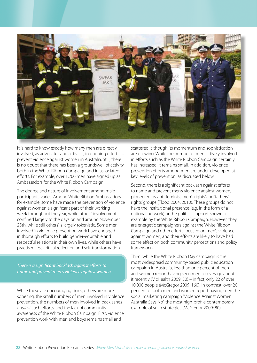

It is hard to know exactly how many men are directly involved, as advocates and activists, in ongoing efforts to prevent violence against women in Australia. Still, there is no doubt that there has been a groundswell of activity, both in the White Ribbon Campaign and in associated efforts. For example, over 1,200 men have signed up as Ambassadors for the White Ribbon Campaign.

The degree and nature of involvement among male participants varies. Among White Ribbon Ambassadors for example, some have made the prevention of violence against women a significant part of their working week throughout the year, while others' involvement is confined largely to the days on and around November 25th, while still others' is largely tokenistic. Some men involved in violence prevention work have engaged in thorough efforts to build gender-equitable and respectful relations in their own lives, while others have practised less critical reflection and self-transformation.

*There is a significant backlash against efforts to name and prevent men's violence against women.*

While these are encouraging signs, others are more sobering: the small numbers of men involved in violence prevention, the numbers of men involved in backlashes *against* such efforts, and the lack of community awareness of the White Ribbon Campaign. First, violence prevention work with men and boys remains small and

scattered, although its momentum and sophistication are growing. While the number of men actively involved in efforts such as the White Ribbon Campaign certainly has increased, it remains small. In addition, violence prevention efforts among men are under-developed at key levels of prevention, as discussed below.

Second, there is a significant backlash against efforts to name and prevent men's violence against women, pioneered by anti-feminist 'men's rights' and 'fathers' rights' groups (Flood 2004, 2010). These groups do not have the institutional presence (e.g. in the form of a national network) or the political support shown for example by the White Ribbon Campaign. However, they are energetic campaigners against the White Ribbon Campaign and other efforts focused on men's violence against women, and their efforts are likely to have had some effect on both community perceptions and policy frameworks.

Third, while the White Ribbon Day campaign is the most widespread community-based public education campaign in Australia, less than one percent of men and women report having seen media coverage about it recently (VicHealth 2009: 50) – in fact, only 22 of over 10,000 people (McGregor 2009: 160). In contrast, over 20 per cent of both men and women report having seen the social marketing campaign "Violence Against Women: Australia Says No", the most high-profile contemporary example of such strategies (McGregor 2009: 80).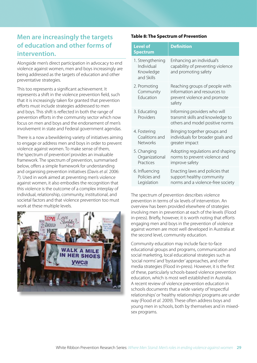### **Men are increasingly the targets of education and other forms of intervention.**

Alongside men's direct participation in advocacy to end violence against women, men and boys increasingly are being addressed as the targets of education and other preventative strategies.

This too represents a significant achievement. It represents a shift in the violence prevention field, such that it is increasingly taken for granted that prevention efforts must include strategies addressed to men and boys. This shift is reflected in both the range of prevention efforts in the community sector which now focus on men and boys and the endorsement of men's involvement in state and Federal government agendas.

There is a now a bewildering variety of initiatives aiming to engage or address men and boys in order to prevent violence against women. To make sense of them, the 'spectrum of prevention' provides an invaluable framework. The spectrum of prevention, summarised below, offers a simple framework for understanding and organising prevention initiatives (Davis *et al*. 2006: 7). Used in work aimed at preventing men's violence against women, it also embodies the recognition that this violence is the outcome of a complex interplay of individual, relationship, community, institutional, and societal factors and that violence prevention too must work at these multiple levels.



#### **Table 8: The Spectrum of Prevention**

| <b>Level of</b><br><b>Spectrum</b>                        | <b>Definition</b>                                                                                        |
|-----------------------------------------------------------|----------------------------------------------------------------------------------------------------------|
| 1. Strengthening<br>Individual<br>Knowledge<br>and Skills | Enhancing an individual's<br>capability of preventing violence<br>and promoting safety                   |
| 2. Promoting<br>Community<br>Education                    | Reaching groups of people with<br>information and resources to<br>prevent violence and promote<br>safety |
| 3. Educating<br>Providers                                 | Informing providers who will<br>transmit skills and knowledge to<br>others and model positive norms      |
| 4. Fostering<br>Coalitions and<br><b>Networks</b>         | Bringing together groups and<br>individuals for broader goals and<br>greater impact                      |
| 5. Changing<br>Organizational<br>Practices                | Adopting regulations and shaping<br>norms to prevent violence and<br>improve safety                      |
| 6. Influencing<br>Policies and<br>Legislation             | Enacting laws and policies that<br>support healthy community<br>norms and a violence-free society        |

The spectrum of prevention describes violence prevention in terms of six levels of intervention. An overview has been provided elsewhere of strategies involving men in prevention at each of the levels (Flood in-press). Briefly, however, it is worth noting that efforts engaging men and boys in the prevention of violence against women are most well developed in Australia at the second level, community education.

Community education may include face-to-face educational groups and programs, communication and social marketing, local educational strategies such as 'social norms' and 'bystander' approaches, and other media strategies (Flood in-press). However, it is the first of these, particularly schools-based violence prevention education, which is most well established in Australia. A recent review of violence prevention education in schools documents that a wide variety of 'respectful relationships' or 'healthy relationships' programs are under way (Flood *et al*. 2009). These often address boys and young men in schools, both by themselves and in mixedsex programs.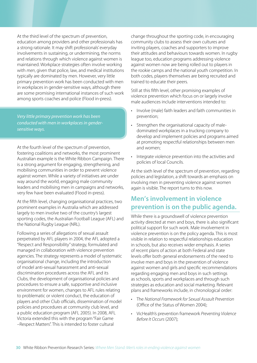At the third level of the spectrum of prevention, education among providers and other professionals has a strong rationale. It may shift professionals'everyday involvements in sustaining, or undermining, the norms and relations through which violence against women is maintained. Workplace strategies often involve working with *men*, given that police, law, and medical institutions typically are dominated by men. However, very little primary prevention work has been conducted with men in workplaces in gender-sensitive ways, although there are some promising international instances of such work among sports coaches and police (Flood in-press).

*Very little primary prevention work has been conducted with men in workplaces in gendersensitive ways.*

At the fourth level of the spectrum of prevention, fostering coalitions and networks, the most prominent Australian example is the White Ribbon Campaign. There is a strong argument for engaging, strengthening, and mobilising communities in order to prevent violence against women. While a variety of initiatives are under way around the world, engaging male community leaders and mobilising men in campaigns and networks, very few have been evaluated (Flood in-press).

At the fifth level, changing organisational practices, two prominent examples in Australia which are addressed largely to men involve two of the country's largest sporting codes, the Australian Football League (AFL) and the National Rugby League (NRL).

Following a series of allegations of sexual assault perpetrated by AFL players in 2004, the AFL adopted a "Respect and Responsibility" strategy, formulated and managed in collaboration with violence prevention agencies. The strategy represents a model of systematic organisational change, including the introduction of model anti-sexual harassment and anti-sexual discrimination procedures across the AFL and its Clubs, the development of organisational policies and procedures to ensure a safe, supportive and inclusive environment for women, changes to AFL rules relating to problematic or violent conduct, the education of players and other Club officials, dissemination of model policies and procedures at community club level, and a public education program (AFL 2005). In 2008, AFL Victoria extended this with the program "Fair Game –Respect Matters". This is intended to foster cultural

change throughout the sporting code, in encouraging community clubs to assess their own cultures and inviting players, coaches and supporters to improve their attitudes and behaviours towards women. In rugby league too, education programs addressing violence against women now are being rolled out to players in the rookie camps and the national youth competition. In both codes, players themselves are being recruited and trained to educate their peers.

Still at this fifth level, other promising examples of violence prevention which focus on or largely involve male audiences include interventions intended to:

- Involve (male) faith leaders and faith communities in prevention;
- Strengthen the organisational capacity of maledominated workplaces in a trucking company to develop and implement policies and programs aimed at promoting respectful relationships between men and women;
- Integrate violence prevention into the activities and policies of local Councils.

At the sixth level of the spectrum of prevention, regarding policies and legislation, a shift towards an emphasis on involving men in preventing violence against women again is visible. The report turns to this now.

### **Men's involvement in violence prevention is on the public agenda.**

While there is a groundswell of violence prevention activity directed at men and boys, there is also significant political support for such work. Male involvement in violence prevention is on the policy agenda. This is most visible in relation to respectful relationships education in schools, but also receives wider emphasis. A series of recent plans of action at both Federal and state levels offer both general endorsements of the need to involve men and boys in the prevention of violence against women and girls and specific recommendations regarding engaging men and boys in such settings as schools, sports and workplaces and through such strategies as education and social marketing. Relevant plans and frameworks include, in chronological order:

- • The *National Framework for Sexual Assault Prevention* (Office of the Status of Women 2004);
- • VicHealth's prevention framework *Preventing Violence Before It Occurs* (2007);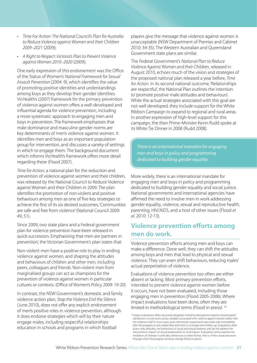- • *Time For Action: The National Council's Plan for Australia to Reduce Violence against Women and their Children 2009–2021* (2009);
- • *A Right to Respect: Victoria's Plan to Prevent Violence against Women 2010–2020* (2009);

One early expression of this endorsement was the Office of the Status of Women's *National Framework for Sexual Assault Prevention* (2004: 9), which identifies the value of promoting positive identities and understandings among boys as they develop their gender identities. VicHealth's (2007) framework for the primary prevention of violence against women offers a well-developed and influential agenda for violence prevention, including a more systematic approach to engaging men and boys in prevention. The framework emphasises that male dominance and masculine gender norms are key determinants of men's violence against women. It identifies men and boys as an important population group for intervention, and discusses a variety of settings in which to engage them. The background document which informs VicHealth's framework offers more detail regarding these (Flood 2007).

*Time for Action*, a national plan for the reduction and prevention of violence against women and their children, was released by the National Council to Reduce Violence against Women and their Children in 2009. The plan identifies the promotion of non-violent and positive behaviours among men as one of five key strategies to achieve the first of its six desired outcomes, 'Communities are safe and free from violence'(National Council 2009: 49, 51).

Since 2009, two state plans and a Federal government plan for violence prevention have been released in quick succession. Emphasising that men are 'partners in prevention', the Victorian Government's plan states that:

Non-violent men have a positive role to play in ending violence against women, and shaping the attitudes and behaviours of children and other men, including peers, colleagues and friends. Non-violent men from marginalised groups can act as champions for the prevention of violence against women in particular cultures or contexts. (Office of Women's Policy 2009: 19-20)

In contrast, the NSW Government's domestic and family violence action plan, *Stop the Violence End the Silence* (June 2010), does not offer any explicit endorsement of men's positive roles in violence prevention, although it does endorse strategies which will by their nature engage males, including respectful relationships education in schools and programs in which football

players give the message that violence against women is unacceptable (NSW Department of Premier and Cabinet 2010: 34-35). The Western Australian and Queensland Government state plans are similar.

The Federal Government's *National Plan to Reduce Violence Against Women and their Children*, released in August 2010, echoes much of the vision and strategies of the proposed national plan released a year before, *Time for Action*. In its second national outcome, 'Relationships are respectful', the National Plan outlines the intention to 'promote positive male attitudes and behaviours'. While the actual strategies associated with this goal are not well developed, they include support for the White Ribbon Campaign to expand to regional and rural areas. In another expression of high-level support for this campaign, the then Prime-Minister Kevin Rudd spoke at its White Tie Dinner in 2008 (Rudd 2008).

*There is an international mandate for engaging men and boys in policy and programming dedicated to building gender equality.*

More widely, there is an international mandate for engaging men and boys in policy and programming dedicated to building gender equality and social justice. National governments and international agencies have affirmed the need to involve men in work addressing gender equality, violence, sexual and reproductive health, parenting, HIV/AIDS, and a host of other issues (Flood *et al.* 2010: 12-13).

### **Violence prevention efforts among men do work.**

Violence prevention efforts among men and boys can make a difference. Done well, they can shift the attitudes among boys and men that lead to physical and sexual violence. They can even shift behaviours, reducing males' actual perpetration of violence.

Evaluations of violence prevention too often are either absent or lacking. Most primary prevention efforts, intended to prevent violence against women before it occurs, have not been evaluated, including those engaging men in prevention (Flood 2005-2006). Where impact evaluations *have* been done, often they are limited in methodological terms (Flood in-press). 22

<sup>&</sup>lt;sup>22</sup> Impact evaluations often are poorly designed, limited to retrospective reports of participants' satisfaction, or only assess proxy variables associated with violence against women rather than this violence itself. In most cases, post-intervention assessments are made only immediately after the program or only weeks later and there is no longer-term follow-up. Evaluations often assess only attitudes, not behaviours or social and sexual relations, and do not address the intervention's impact on actual perpetration or victimisation. Evaluations rarely examine the mediators of changes in attitudes, behaviours or other factors, that is, of the causal processes through which the program achieves change (Flood in-press).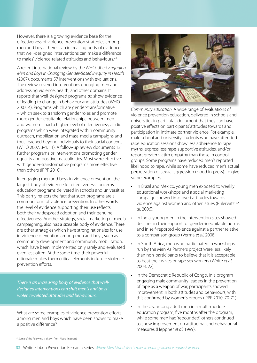However, there is a growing evidence base for the effectiveness of violence prevention strategies among men and boys. There is an increasing body of evidence that well-designed interventions can make a difference to males' violence-related attitudes and behaviours<sup>23</sup>

A recent international review by the WHO, titled *Engaging Men and Boys in Changing Gender-Based Inequity in Health* (2007), documents 57 interventions with evaluations. The review covered interventions engaging men and addressing violence, health, and other domains. It reports that well-designed programs *do* show evidence of leading to change in behaviour and attitudes (WHO 2007: 4). Programs which are gender-transformative – which seek to transform gender roles and promote more gender-equitable relationships between men and women – had a higher level of effectiveness, as did programs which were integrated within community outreach, mobilization and mass-media campaigns and thus reached beyond individuals to their social contexts (WHO 2007: 3-4; 11). A follow-up review documents 12 further programs or interventions promoting gender equality and positive masculinities. Most were effective, with gender-transformative programs more effective than others (IPPF 2010).

In engaging men and boys in violence prevention, the largest body of evidence for effectiveness concerns education programs delivered in schools and universities. This partly reflects the fact that such programs are a common form of violence prevention. In other words, the level of evidence supporting their use reflects both their widespread adoption and their genuine effectiveness. Another strategy, social marketing or media campaigning, also has a sizeable body of evidence. There are other strategies which have strong rationales for use in violence prevention among men and boys, such as community development and community mobilisation, which have been implemented only rarely and evaluated even less often. At the same time, their powerful rationale makes them critical elements in future violence prevention efforts.

*There is an increasing body of evidence that welldesigned interventions can shift men's and boys' violence-related attitudes and behaviours.*

What are some examples of violence prevention efforts among men and boys which have been shown to make a positive difference?



*Community education:* A wide range of evaluations of violence prevention education, delivered in schools and universities in particular, document that they can have positive effects on participants' attitudes towards and participation in intimate partner violence. For example, male school and university students who have attended rape education sessions show less adherence to rape myths, express less rape-supportive attitudes, and/or report greater victim empathy than those in control groups. Some programs have reduced men's reported likelihood to rape, while some have reduced men's actual perpetration of sexual aggression (Flood in-press). To give some examples;

- In Brazil and Mexico, young men exposed to weekly educational workshops and a social marketing campaign showed improved attitudes towards violence against women and other issues (Pulerwitz *et al*. 2006);
- In India, young men in the intervention sites showed declines in their support for gender-inequitable norms and in self-reported violence against a partner relative to a comparison group (Verma *et al.* 2008);
- In South Africa, men who participated in workshops run by the Men As Partners project were less likely than non-participants to believe that it is acceptable to beat their wives or rape sex workers (White *et al.* 2003: 22);
- In the Democratic Republic of Congo, in a program engaging male community leaders in the prevention of rape as a weapon of war, participants showed improvement in both attitudes and behaviours, with this confirmed by women's groups (IPPF 2010: 70-71).
- In the US, among adult men in a multi-module education program, five months after the program, while some men had 'rebounded', others continued to show improvement on attitudinal and behavioural measures (Heppner *et al.* 1999).

<sup>23</sup> Some of the following is drawn from Flood (in-press).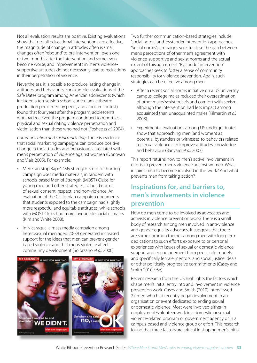Not all evaluation results are positive. Existing evaluations show that not all educational interventions are effective, the magnitude of change in attitudes often is small, changes often 'rebound' to pre-intervention levels one or two months after the intervention and some even become worse, and improvements in men's violencesupportive attitudes do not necessarily lead to reductions in their perpetration of violence.

Nevertheless, it is possible to produce lasting change in attitudes and behaviours. For example, evaluations of the Safe Dates program among American adolescents (which included a ten-session school curriculum, a theatre production performed by peers, and a poster contest) found that four years after the program, adolescents who had received the program continued to report less physical and sexual dating violence perpetration and victimisation than those who had not (Foshee *et al.* 2004).

*Communication and social marketing:* There is evidence that social marketing campaigns can produce positive change in the attitudes and behaviours associated with men's perpetration of violence against women (Donovan and Vlais 2005). For example;

- Men Can Stop Rape's "My strength is not for hurting" campaign uses media materials, in tandem with schools-based Men of Strength (MOST) Clubs for young men and other strategies, to build norms of sexual consent, respect, and non-violence. An evaluation of the Californian campaign documents that students exposed to the campaign had slightly more respectful and equitable attitudes, while schools with MOST Clubs had more favourable social climates (Kim and White 2008).
- In Nicaragua, a mass media campaign among heterosexual men aged 20-39 generated increased support for the ideas that men can prevent genderbased violence and that men's violence affects community development (Solórzano *et al.* 2000).



Two further communication-based strategies include 'social norms' and 'bystander intervention' approaches. 'Social norms' campaigns seek to close the gap between men's perceptions of other men's agreement with violence-supportive and sexist norms and the actual extent of this agreement. 'Bystander intervention' approaches seek to foster a sense of community responsibility for violence prevention. Again, such strategies can be effective among men:

- After a recent social norms initiative on a US university campus, college males reduced their overestimation of other males' sexist beliefs and comfort with sexism, although the intervention had less impact among acquainted than unacquainted males (Kilmartin *et al.* 2008).
- Experimental evaluations among US undergraduates show that approaching men (and women) as potential bystanders or witnesses to behaviors related to sexual violence can improve attitudes, knowledge and behaviour (Banyard *et al.* 2007).

This report returns now to men's active involvement in efforts to prevent men's violence against women. What inspires men to become involved in this work? And what prevents men from taking action?

### **Inspirations for, and barriers to, men's involvements in violence prevention**

How do men come to be involved as advocates and activists in violence prevention work? There is a small body of research among men involved in anti-violence and gender equality advocacy. It suggests that there are some common themes among men with long-term dedications to such efforts: exposure to or personal experiences with issues of sexual or domestic violence; support and encouragement from peers, role models and specifically female mentors; and social justice ideals or other politically progressive commitments (Casey and Smith 2010: 956)

Recent research from the US highlights the factors which shape men's initial entry into and involvement in violence prevention work. Casey and Smith (2010) interviewed 27 men who had recently began involvement in an organisation or event dedicated to ending sexual or domestic violence. Most were involved either in employment/volunteer work in a domestic or sexual violence-related program or government agency or in a campus-based anti-violence group or effort. This research found that three factors are critical in shaping men's initial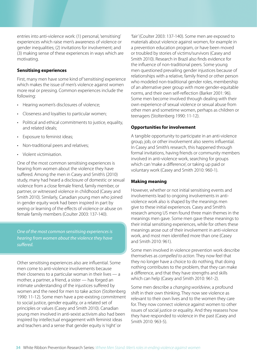entries into anti-violence work: (1) personal, 'sensitising' experiences which raise men's awareness of violence or gender inequalities; (2) invitations for involvement; and (3) making sense of these experiences in ways which are motivating.

#### **Sensitising experiences**

First, many men have some kind of 'sensitising' experience which makes the issue of men's violence against women more real or pressing. Common experiences include the following:

- Hearing women's disclosures of violence;
- Closeness and loyalties to particular women;
- Political and ethical commitments to justice, equality, and related ideals;
- Exposure to feminist ideas;
- • Non-traditional peers and relatives;
- • Violent victimisation.

One of the most common sensitising experiences is hearing from women about the violence they have suffered. Among the men in Casey and Smith's (2010) study, many had heard a disclosure of domestic or sexual violence from a close female friend, family member, or partner, or witnessed violence in childhood (Casey and Smith 2010). Similarly, Canadian young men who joined in gender equity work had been inspired in part by seeing or learning of the effects of violence or abuse on female family members (Coulter 2003: 137-140).

*One of the most common sensitising experiences is hearing from women about the violence they have suffered.*

Other sensitising experiences also are influential. Some men come to anti-violence involvements because their closeness to a particular woman in their lives — a mother, a partner, a friend, a sister — has forged an intimate understanding of the injustices suffered by women and the need for men to take action (Stoltenberg 1990: 11-12). Some men have a pre-existing commitment to social justice, gender equality, or a related set of principles or values (Casey and Smith 2010). Canadian young men involved in anti-sexist activism also had been inspired by intellectual engagement with feminist ideas and teachers and a sense that gender equity is 'right' or

'fair' (Coulter 2003: 137-140). Some men are exposed to materials about violence against women, for example in a prevention education program, or have been moved or troubled by stories of victims/survivors (Casey and Smith 2010). Research in Brazil also finds evidence for the influence of non-traditional peers. Some young men questioned prevailing gender injustices because of relationships with a relative, family friend or other person who modeled non-traditional gender roles, membership of an alternative peer group with more gender-equitable norms, and their own self-reflection (Barker 2001: 96). Some men become involved through dealing with their own experience of sexual violence or sexual abuse from other men and sometime women, perhaps as children or teenagers (Stoltenberg 1990: 11-12).

#### **Opportunities for involvement**

A tangible opportunity to participate in an anti-violence group, job, or other involvement also seems influential. In Casey and Smith's research, this happened through formal invitations, having friends or community members involved in anti-violence work, searching for groups which can 'make a difference', or taking up paid or voluntary work (Casey and Smith 2010: 960-1).

#### **Making meaning**

However, whether or not initial sensitising events and involvements lead to ongoing involvements in antiviolence work also is shaped by the meanings men give to these initial experiences. Casey and Smith's research among US men found three main themes in the meanings men gave. Some men gave these meanings to their initial sensitising experiences, while for others these meanings arose out of their involvement in anti-violence work, and most men identified more than one (Casey and Smith 2010: 961).

Some men involved in violence prevention work describe themselves as *compelled to action*. They now feel that they no longer have a choice to do nothing, that doing nothing contributes to the problem, that they can make a difference, and that they have strengths and skills which can help (Casey and Smith 2010: 961-2).

Some men describe a *changing worldview*, a profound shift in their own thinking. They now see violence as relevant to their own lives and to the women they care for. They now connect violence against women to other issues of social justice or equality. And they reassess how they have responded to violence in the past (Casey and Smith 2010: 963-5).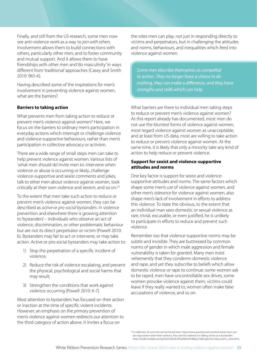Finally, and still from the US research, some men now see anti-violence work as a way to *join with others*. Involvement allows them to build connections with others, particularly other men, and to foster community and mutual support. And it allows them to have friendships with other men and 'do masculinity' in ways different from 'traditional' approaches (Casey and Smith 2010: 965-6).

Having described some of the inspirations for men's involvement in preventing violence against women, what are the barriers?

#### **Barriers to taking action**

What prevents men from taking action to reduce or prevent men's violence against women? Here, we focus on the barriers to ordinary men's participation in everyday actions which interrupt or challenge violence and violence-supportive behaviours, rather than men's participation in collective advocacy or activism.

There are a wide range of small steps men can take to help prevent violence against women. Various lists of 'what men should do' invite men to: intervene when violence or abuse is occurring or likely, challenge violence-supportive and sexist comments and jokes, talk to other men about violence against women, look critically at their own violence and sexism, and so on.24

To the extent that men take such action to reduce or prevent men's violence against women, they can be described as *active* or *pro-social bystanders*. In violence prevention and elsewhere there is growing attention to 'bystanders' – individuals who observe an act of violence, discrimination, or other problematic behaviour but are not its direct perpetrator or victim (Powell 2010: 6). Bystanders may fail to act or intervene, or may take action. Active or pro-social bystanders may take action to:

- 1) Stop the perpetration of a specific incident of violence;
- 2) Reduce the risk of violence escalating, and prevent the physical, psychological and social harms that may result;
- 3) Strengthen the conditions that work against violence occurring (Powell 2010: 6-7).

Most attention to bystanders has focused on their action or inaction at the time of specific violent incidents. However, an emphasis on the *primary* prevention of men's violence against women redirects our attention to the third category of action above. It invites a focus on

the roles men can play, not just in responding directly to victims and perpetrators, but in challenging the attitudes and norms, behaviours, and inequalities which feed into violence against women.

*Some men describe themselves as compelled to action. They no longer have a choice to do nothing, they can make a difference, and they have strengths and skills which can help.*

What barriers are there to individual men taking steps to reduce or prevent men's violence against women? As this report already has documented, most men do not use the bluntest forms of violence against women, most regard violence against women as unacceptable, and at least from US data, most are willing to take action to reduce or prevent violence against women. At the same time, it is likely that only a minority take any kind of action to help reduce or prevent violence.

#### **Support for sexist and violence-supportive attitudes and norms**

One key factor is support for sexist and violencesupportive attitudes and norms. The same factors which shape some men's *use* of violence against women, and other men's *tolerance* for violence against women, also shape men's lack of involvement in efforts to address this violence. To state the obvious, to the extent that an individual man sees domestic or sexual violence as rare, trivial, excusable, or even justified, he is unlikely to participate in efforts to reduce and prevent such violence.

Remember too that violence-supportive norms may be subtle and invisible. They are buttressed by common norms of gender in which male aggression and female vulnerability is taken for granted. Many men insist vehemently that they condemn domestic violence and rape, and yet they subscribe to beliefs which allow domestic violence or rape to continue: some women ask to be raped, men have uncontrollable sex drives, some women provoke violence against them, victims could leave if they really wanted to, women often make false accusations of violence, and so on.

24 A collection of such lists can be found here: http://www.xyonline.net/content/what-men-cando-stop-sexism-and-male-violence. Also see this material on 'taking action as a bystander': http://toolkit.endabuse.org/GetToWork/WhatMenAndBoys/TakingAction/document\_view.html.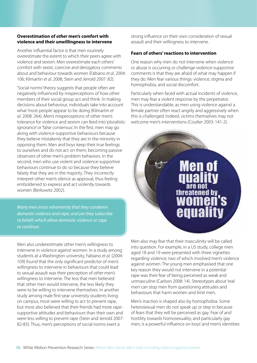#### **Overestimation of** *other* **men's comfort with violence and their unwillingness to intervene**

Another influential factor is that men routinely overestimate the extent to which their peers agree with violence and sexism. Men overestimate each others' comfort with sexist, coercive and derogatory comments about and behaviour towards women (Fabiano *et al.* 2004: 106; Kilmartin *et al.* 2008; Stein and Jerrold 2007: 82).

'Social norms' theory suggests that people often are negatively influenced by misperceptions of how other members of their social group act and think. In making decisions about behaviour, individuals take into account what 'most people' appear to be doing (Kilmartin *et al.* 2008: 264). Men's misperceptions of other men's tolerance for violence and sexism can feed into 'pluralistic ignorance'or'false consensus'. In the first, men may go along with violence-supportive behaviours because they believe mistakenly that they are in the minority in opposing them. Men and boys keep their true feelings to ourselves and do not act on them, becoming passive observers of other men's problem behaviors. In the second, men who use violent and violence-supportive behaviours continue to do so because they believe falsely that they are in the majority. They incorrectly interpret other men's silence as approval, thus feeling emboldened to express and act violently towards women (Berkowitz 2002).

*Many men insist vehemently that they condemn domestic violence and rape, and yet they subscribe to beliefs which allow domestic violence or rape to continue.*

Men also underestimate other men's willingness to intervene in violence against women. In a study among students at a Washington university, Fabiano *et al.* (2004: 109) found that the only significant predictor of men's willingness to intervene in behaviours that could lead to sexual assault was their perception of *other* men's willingness to intervene. The less that men believed that other men would intervene, the less likely they were to be willing to intervene themselves. In another study among male first-year university students living on campus, most were willing to act to prevent rape, but most also believed that their friends had more rapesupportive attitudes and behaviours than their own and were less willing to prevent rape (Stein and Jerrold 2007: 82-83). Thus, men's perceptions of social norms exert a

strong influence on their own consideration of sexual assault and their willingness to intervene.

#### **Fears of others' reactions to intervention**

One reason why men do not intervene when violence or abuse is occurring or challenge violence-supportive comments is that they are afraid of what may happen if they do. Men fear various things: violence, stigma and homophobia, and social discomfort.

Particularly when faced with actual incidents of violence, men may fear a violent response by the perpetrator. This is understandable, as men using violence against a female partner often react angrily and aggressively when this is challenged. Indeed, victims themselves may not welcome men's interventions (Coulter 2003: 141-2).



Men also may fear that their masculinity will be called into question. For example, in a US study, college men aged 18 and 19 were presented with three vignettes regarding violence, two of which involved men's violence against women. The young men emphasised that one key reason they would not intervene in a potential rape was their fear of being perceived as weak and unmasculine (Carlson 2008: 14). Stereotypes about 'real men' can stop men from questioning attitudes and behaviours that harm women and limit men.

Men's inaction is shaped also by homophobia. Some heterosexual men do not speak up or step in because of fears that they will be perceived as gay. Fear of and hostility towards homosexuality, and particularly gay men, is a powerful influence on boys' and men's identities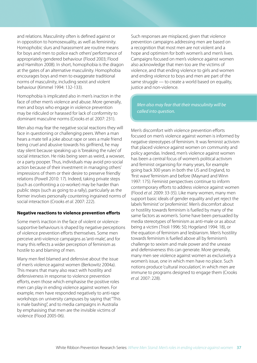and relations. Masculinity often is defined against or in opposition to homosexuality, as well as femininity. Homophobic slurs and harassment are routine means for boys and men to police each others' performance of appropriately gendered behaviour (Flood 2003; Flood and Hamilton 2008). In short, homophobia is the dragon at the gates of an alternative masculinity. Homophobia encourages boys and men to exaggerate traditional norms of masculinity, including sexist and violent behaviour (Kimmel 1994: 132-133).

Homophobia is implicated also in men's inaction in the face of other men's violence and abuse. More generally, men and boys who engage in violence prevention may be ridiculed or harassed for lack of conformity to dominant masculine norms (Crooks *et al.* 2007: 231).

Men also may fear the negative social reactions they will face in questioning or challenging peers. When a man hears a mate tell a joke about rape or sees a male friend being cruel and abusive towards his girlfriend, he may stay silent because speaking up is 'breaking the rules' of social interaction. He risks being seen as weird, a wowser, or a party pooper. Thus, individuals may avoid pro-social action because of their investment in managing others' impressions of them or their desire to preserve friendly relations (Powell 2010: 17). Indeed, taking private steps (such as confronting a co-worker) may be harder than public steps (such as going to a rally), particularly as the former involves personally countering ingrained norms of social interaction (Crooks *et al.* 2007: 222).

#### **Negative reactions to violence prevention efforts**

Some men's inaction in the face of violent or violencesupportive behaviours is shaped by negative perceptions of violence prevention efforts themselves. Some men perceive anti-violence campaigns as 'anti-male', and for many this reflects a wider perception of feminism as hostile to and blaming of men.

Many men feel blamed and defensive about the issue of men's violence against women (Berkowitz 2004a). This means that many also react with hostility and defensiveness in response to violence prevention efforts, even those which emphasise the positive roles men can play in ending violence against women. For example, men have responded negatively to anti-rape workshops on university campuses by saying that "This is male bashing", and to media campaigns in Australia by emphasising that men are the invisible victims of violence (Flood 2005-06).

Such responses are misplaced, given that violence prevention campaigns addressing men are based on a recognition that most men are not violent and a hope and optimism for both women's and men's lives. Campaigns focused on men's violence against women also acknowledge that men too are the victims of violence, and that ending violence to girls and women and ending violence to boys and men are part of the same struggle — to create a world based on equality, justice and non-violence.

*Men also may fear that their masculinity will be called into question.*

Men's discomfort with violence prevention efforts focused on men's violence against women is informed by negative stereotypes of feminism. It was feminist activism that placed violence against women on community and policy agendas. Indeed, men's violence against women has been a central focus of women's political activism and feminist organising for many years, for example going back 300 years in both the US and England, to 'first wave' feminism and before (Maynard and Winn 1997: 175). Feminist perspectives continue to inform contemporary efforts to address violence against women (Flood *et al.* 2009: 33-35). Like many women, many men support basic ideals of gender equality and yet reject the labels 'feminist' or 'profeminist'. Men's discomfort about or hostility towards feminism is fuelled by many of the same factors as women's. Some have been persuaded by media stereotypes of feminism as anti-male or as about being a victim (Trioli 1996: 50; Hogeland 1994: 18), or the equation of feminism and lesbianism. Men's hostility towards feminism is fuelled above all by feminism's challenge to sexism and male power and the unease and defensiveness this can generate. More generally, many men see violence against women as exclusively a women's issue, one in which men have no place. Such notions produce 'cultural inoculation', in which men are immune to programs designed to engage them (Crooks *et al.* 2007: 228).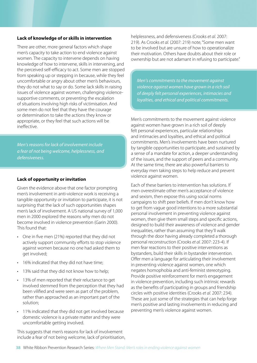#### **Lack of knowledge of or skills in intervention**

There are other, more general factors which shape men's capacity to take action to end violence against women. The capacity to intervene depends on having knowledge of how to intervene, skills in intervening, and the perceived self-efficacy to act. Some men are stopped from speaking up or stepping in because, while they feel uncomfortable or angry about other men's behaviours, they do not what to say or do. Some lack skills in raising issues of violence against women, challenging violencesupportive comments, or preventing the escalation of situations involving high risks of victimisation. And some men do not feel that they have the courage or determination to take the actions they know or appropriate, or they feel that such actions will be ineffective.

*Men's reasons for lack of involvement include a fear of not being welcome, helplessness, and defensiveness.*

#### **Lack of opportunity or invitation**

Given the evidence above that one factor prompting men's involvement in anti-violence work is receiving a tangible opportunity or invitation to participate, it is not surprising that the lack of such opportunities shapes men's lack of involvement. A US national survey of 1,000 men in 2000 explored the reasons why men do not become involved in violence prevention (Garin 2000). This found that:

- One in five men (21%) reported that they did not actively support community efforts to stop violence against women because no one had asked them to get involved;
- • 16% indicated that they did not have time;
- 13% said that they did not know how to help;
- 13% of men reported that their reluctance to get involved stemmed from the perception that they had been vilified and were seen as part of the problem, rather than approached as an important part of the solution;
- 11% indicated that they did not get involved because domestic violence is a private matter and they were uncomfortable getting involved.

This suggests that men's reasons for lack of involvement include a fear of not being welcome, lack of prioritisation, helplessness, and defensiveness (Crooks *et al.* 2007: 219). As Crooks *et al.* (2007: 219) note, "Some men want to be involved but are unsure of how to operationalize their motivation. Others have doubts about their role or ownership but are not adamant in refusing to participate."

*Men's commitments to the movement against violence against women have grown in a rich soil of deeply felt personal experiences, intimacies and loyalties, and ethical and political commitments.*

Men's commitments to the movement against violence against women have grown in a rich soil of deeply felt personal experiences, particular relationships and intimacies and loyalties, and ethical and political commitments. Men's involvements have been nurtured by tangible opportunities to participate, and sustained by a sense of a mandate for action, a deeper understanding of the issues, and the support of peers and a community. At the same time, there are also powerful barriers to everyday men taking steps to help reduce and prevent violence against women.

Each of these barriers to intervention has solutions. If men overestimate other men's acceptance of violence and sexism, then expose this using social norms campaigns to shift peer beliefs. If men don't know how to get from vague good intentions to a more substantial personal involvement in preventing violence against women, then give them small steps and specific actions, designed to build their awareness of violence and gender inequalities, rather than assuming that they'll walk through the door having already completed a thorough personal reconstruction (Crooks *et al.* 2007: 223-4). If men fear reactions to their positive interventions as bystanders, build their skills in bystander intervention. Offer men a language for articulating their involvement in preventing violence against women, one which negates homophobia and anti-feminist stereotyping. Provide positive reinforcement for men's engagement in violence prevention, including such intrinsic rewards as the benefits of participating in groups and friendship circles with positive identities (Crooks *et al.* 2007: 234). These are just some of the strategies that can help forge men's positive and lasting involvements in reducing and preventing men's violence against women.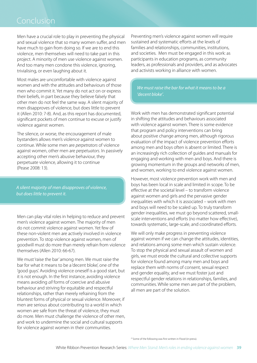### Conclusion

Men have a crucial role to play in preventing the physical and sexual violence that so many women suffer, and men have much to gain from doing so. If we are to end this violence, men themselves will need to take part in this project. A minority of men use violence against women. And too many men condone this violence, ignoring, trivialising, or even laughing about it.

Most males are uncomfortable with violence against women and with the attitudes and behaviours of those men who commit it. Yet many do not act on or express their beliefs, in part because they believe falsely that other men do not feel the same way. A silent majority of men disapproves of violence, but does little to prevent it (Allen 2010: 7-8). And, as this report has documented, significant pockets of men continue to excuse or justify violence against women.

The silence, or worse, the encouragement of male bystanders allows men's violence against women to continue. While some men are *perpetrators* of violence against women, other men are *perpetuators*. In passively accepting other men's abusive behaviour, they perpetuate violence, allowing it to continue (Pease 2008: 13).

*A silent majority of men disapproves of violence, but does little to prevent it.*

Men can play vital roles in helping to reduce and prevent men's violence against women. The majority of men do not commit violence against women. Yet few of these non-violent men are actively involved in violence prevention. To stop violence against women, men of goodwill must do more than merely refrain from violence themselves (Allen 2010: 66-67).

We must 'raise the bar' among men. We must raise the bar for what it means to be a 'decent bloke', one of the 'good guys'. Avoiding violence oneself is a good start, but it is not enough. In the first instance, avoiding violence means avoiding *all* forms of coercive and abusive behaviour and striving for equitable and respectful relationships, rather than merely refraining from the bluntest forms of physical or sexual violence. Moreover, if men are serious about contributing to a world in which women are safe from the threat of violence, they must do more. Men must challenge the violence of other men, and work to undermine the social and cultural supports for violence against women in their communities.

Preventing men's violence against women will require sustained and systematic efforts at the levels of families and relationships, communities, institutions, and societies. Men must be engaged in this work: as participants in education programs, as community leaders, as professionals and providers, and as advocates and activists working in alliance with women.

*We must raise the bar for what it means to be a 'decent bloke'.*

Work with men has demonstrated significant potential in shifting the attitudes and behaviours associated with violence against women. There is some evidence that program and policy interventions can bring about positive change among men, although rigorous evaluation of the impact of violence prevention efforts among men and boys often is absent or limited. There is an increasingly rich collection of guides and manuals for engaging and working with men and boys. And there is growing momentum in the groups and networks of men, and women, working to end violence against women.

However, most violence prevention work with men and boys has been local in scale and limited in scope. To be effective at the societal level – to transform violence against women and girls and the pervasive gender inequalities with which it is associated – work with men and boys will need to be scaled up. To truly transform gender inequalities, we must go beyond scattered, smallscale interventions and efforts (no matter how effective), towards systematic, large-scale, and coordinated efforts.

We will only make progress in preventing violence against women if we can change the attitudes, identities, and relations among some men which sustain violence. To stop the physical and sexual assault of women and girls, we must erode the cultural and collective supports for violence found among many men and boys and replace them with norms of consent, sexual respect and gender equality, and we must foster just and respectful gender relations in relationships, families, and communities. While some men are part of the problem, all men are part of the solution.

<sup>25</sup> Some of the following was first written in Flood (in-press).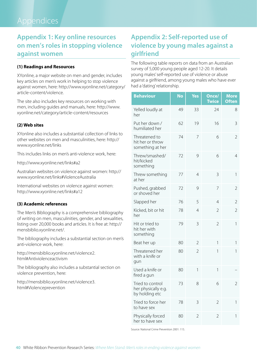### **Appendix 1: Key online resources on men's roles in stopping violence against women**

#### **(1) Readings and Resources**

XYonline, a major website on men and gender, includes key articles on men's work in helping to stop violence against women, here: http://www.xyonline.net/category/ article-content/violence.

The site also includes key resources on working with men, including guides and manuals, here: http://www. xyonline.net/category/article-content/resources

### **(2) Web sites**

XYonline also includes a substantial collection of links to other websites on men and masculinities, here: http:// www.xyonline.net/links

This includes links on men's anti-violence work, here:

http://www.xyonline.net/links#a2

Australian websites on violence against women: http:// www.xyonline.net/links#ViolenceAustralia

International websites on violence against women: http://www.xyonline.net/links#a12

#### **(3) Academic references**

The Men's Bibliography is a comprehensive bibliography of writing on men, masculinities, gender, and sexualities, listing over 20,000 books and articles. It is free at: http:// mensbiblio.xyonline.net/.

The bibliography includes a substantial section on men's anti-violence work, here:

http://mensbiblio.xyonline.net/violence2. html#Antiviolenceactivism

The bibliography also includes a substantial section on violence prevention, here:

http://mensbiblio.xyonline.net/violence3. html#Violenceprevention

### **Appendix 2: Self-reported use of violence by young males against a girlfriend**

The following table reports on data from an Australian survey of 5,000 young people aged 12-20. It details young males' self-reported use of violence or abuse against a girlfriend, among young males who have ever had a 'dating' relationship.

| <b>Behaviour</b>                                          | <b>No</b> | <b>Yes</b>     | Once/<br><b>Twice</b> | <b>More</b><br><b>Often</b> |
|-----------------------------------------------------------|-----------|----------------|-----------------------|-----------------------------|
| Yelled loudly at<br>her                                   | 49        | 33             | 24                    | 8                           |
| Put her down /<br>humiliated her                          | 62        | 19             | 16                    | 3                           |
| Threatened to<br>hit her or throw<br>something at her     | 74        | 7              | 6                     | $\overline{2}$              |
| Threw/smashed/<br>hit/kicked<br>something                 | 72        | 9              | 6                     | 4                           |
| Threw something<br>at her                                 | 77        | $\overline{4}$ | 3                     | 1                           |
| Pushed, grabbed<br>or shoved her                          | 72        | 9              | 7                     | $\overline{2}$              |
| Slapped her                                               | 76        | 5              | $\overline{4}$        | $\overline{2}$              |
| Kicked, bit or hit<br>her                                 | 78        | $\overline{4}$ | $\overline{2}$        | $\overline{2}$              |
| Hit or tried to<br>hit her with<br>something              | 79        | 3              | $\overline{2}$        | 1                           |
| Beat her up                                               | 80        | $\overline{2}$ | 1                     | 1                           |
| Threatened her<br>with a knife or<br>qun                  | 80        | $\overline{2}$ | 1                     | 1                           |
| Used a knife or<br>fired a gun                            | 80        | $\mathbf{1}$   | $\mathbf{1}$          |                             |
| Tried to control<br>her physically e.g.<br>by holding etc | 73        | 8              | 6                     | V                           |
| Tried to force her<br>to have sex                         | 78        | 3              | $\overline{2}$        | 1                           |
| Physically forced<br>her to have sex                      | 80        | 2              | 2                     | 1                           |

Source: National Crime Prevention 2001: 115.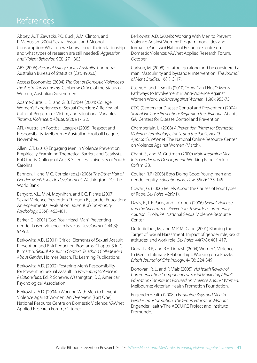### **Expediences** References

Abbey, A., T. Zawacki, P.O. Buck, A.M. Clinton, and P. McAuslan (2004) Sexual Assault and Alcohol Consumption: What do we know about their relationship and what types of research are still needed? *Aggression and Violent Behavior*, 9(3): 271-303.

ABS (2006) *Personal Safety Survey Australia*. Canberra: Australian Bureau of Statistics (Cat. 4906.0).

Access Economics (2004) *The Cost of Domestic Violence to the Australian Economy*. Canberra: Office of the Status of Women, Australian Government.

Adams-Curtis, L. E., and G. B. Forbes (2004) College Women's Experiences of Sexual Coercion: A Review of Cultural, Perpetrator, Victim, and Situational Variables. *Trauma, Violence, & Abuse*, 5(2): 91-122.

AFL (Australian Football League) (2005) Respect and Responsibility. Melbourne: Australian Football League, November.

Allen, C.T. (2010) Engaging Men in Violence Prevention: Empirically Examining Theoretical Barriers and Catalysts. PhD thesis, College of Arts & Sciences, University of South Carolina.

Bannon, I., and M.C. Correia (eds.) (2006) *The Other Half of Gender: Men's issues in development*. Washington DC: The World Bank.

Banyard, V.L., M.M. Moynihan, and E.G. Plante (2007) Sexual Violence Prevention Through Bystander Education: An experimental evaluation. *Journal of Community Psychology*, 35(4): 463-481.

Barker, G. (2001) 'Cool Your Head, Man': Preventing gender-based violence in Favelas. *Development*, 44(3): 94-98.

Berkowitz, A.D. (2001) Critical Elements of Sexual Assault Prevention and Risk Reduction Programs. Chapter 3 in C. Kilmartin: *Sexual Assault in Context: Teaching College Men About Gender*. Holmes Beach, FL: Learning Publications.

Berkowitz, A.D. (2002) Fostering Men's Responsibility for Preventing Sexual Assault. In *Preventing Violence in Relationships*. Ed. P. Schewe. Washington, DC, American Psychological Association.

Berkowitz, A.D. (2004a) Working With Men to Prevent Violence Against Women: An Overview. (Part One) National Resource Centre on Domestic Violence: VAWnet Applied Research Forum, October.

Berkowitz, A.D. (2004b) Working With Men to Prevent Violence Against Women: Program modalities and formats. (Part Two) National Resource Centre on Domestic Violence: VAWnet Applied Research Forum, October.

Carlson, M. (2008) I'd rather go along and be considered a man: Masculinity and bystander intervention. *The Journal of Men's Studies*, 16(1): 3-17.

Casey, E., and T. Smith (2010)"How Can I Not?": Men's Pathways to Involvement in Anti-Violence Against Women Work. *Violence Against Women*, 16(8): 953-73.

CDC (Centers for Disease Control and Prevention) (2004) *Sexual Violence Prevention: Beginning the dialogue.* Atlanta, GA: Centers for Disease Control and Prevention.

Chamberlain, L. (2008) *A Prevention Primer for Domestic Violence: Terminology, Tools, and the Public Health Approach*. VAWnet: The National Online Resource Center on Violence Against Women (March).

Chant, S., and M. Guttman (2000) *Mainstreaming Men Into Gender and Development*. Working Paper. Oxford: Oxfam GB.

Coulter, R.P. (2003) Boys Doing Good: Young men and gender equity. *Educational Review*, 55(2): 135-145.

Cowan, G. (2000) Beliefs About the Causes of Four Types of Rape. *Sex Roles*, 42(9/1).

Davis, R., L.F. Parks, and L. Cohen (2006) *Sexual Violence and the Spectrum of Prevention: Towards a community solution*. Enola, PA: National Sexual Violence Resource Center.

De Judicibus, M., and M.P. McCabe (2001) Blaming the Target of Sexual Harassment: Impact of gender role, sexist attitudes, and work role. *Sex Roles*, 44(7/8): 401-417.

Dobash, R.P., and R.E. Dobash (2004) Women's Violence to Men in Intimate Relationships: Working on a Puzzle. *British Journal of Criminology*, 44(3): 324-349.

Donovan, R. J., and R. Vlais (2005) *VicHealth Review of Communication Components of Social Marketing / Public Education Campaigns Focused on Violence Against Women*. Melbourne: Victorian Health Promotion Foundation.

EngenderHealth (2008a) E*ngaging Boys and Men in Gender Transformation: The Group Education Manual*. EngenderHealth/The ACQUIRE Project and Instituto Promundo.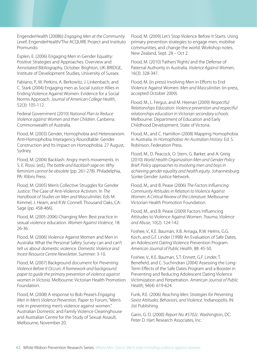EngenderHealth (2008b) *Engaging Men at the Community Levell*. EngenderHealth/The ACQUIRE Project and Instituto Promundo.

Esplen, E. (2006) Engaging Men in Gender Equality: Positive Strategies and Approaches. Overview and Annotated Bibliography, October. Brighton, UK: BRIDGE, Institute of Development Studies, University of Sussex.

Fabiano, P., W. Perkins, A. Berkowitz, J. Linkenbach, and C. Stark (2004) Engaging men as Social Justice Allies in Ending Violence Against Women: Evidence for a Social Norms Approach. *Journal of American College Health*, 52(3): 105-112.

Federal Government (2010) *National Plan to Reduce Violence against Women and their Children*. Canberra: Commonwealth of Australia.

Flood, M. (2003) Gender, Homophobia and Heterosexism. Anti-Homophobia Interagency Roundtable: Gender Construction and Its Impact on Homophobia. 27 August, Sydney.

Flood, M. (2004) Backlash: Angry men's movements. In S. E. Rossi. (ed.), *The battle and backlash rage on: Why feminism cannot be obsolete* (pp. 261-278). Philadelphia, PA: Xlibris Press.

Flood, M. (2005) Men's Collective Struggles for Gender Justice: The Case of Anti-Violence Activism. In *The Handbook of Studies on Men and Masculinities*. Eds M. Kimmel, J. Hearn, and R.W. Connell. Thousand Oaks, CA: Sage (pp. 458-466).

Flood, M. (2005-2006) Changing Men: Best practice in sexual violence education. *Women Against Violence*, 18: 26-36.

Flood, M. (2006) Violence Against Women and Men in Australia: What the Personal Safety Survey can and can't tell us about domestic violence. *Domestic Violence and Incest Resource Centre Newsletter*, Summer: 3-10.

Flood, M. (2007) Background document for *Preventing Violence Before It Occurs: A framework and background paper to guide the primary prevention of violence against women in Victoria*. Melbourne: Victorian Health Promotion Foundation.

Flood, M. (2008) A response to Bob Pease's *Engaging Men in Men's Violence Prevention*. Paper to Forum, "Men's role in preventing men's violence against women." Australian Domestic and Family Violence Clearinghouse and Australian Centre for the Study of Sexual Assault, Melbourne, November 20.

Flood, M. (2009) Let's Stop Violence Before It Starts: Using primary prevention strategies to engage men, mobilise communities, and change the world. Workshop notes, New Zealand, Sept. 28 – Oct 2.

Flood, M. (2010) 'Fathers' Rights' and the Defense of Paternal Authority in Australia. *Violence Against Women*, 16(3): 328-347.

Flood, M. (in press) Involving Men in Efforts to End Violence Against Women. *Men and Masculinities* (in-press, accepted October 2009).

Flood, M., L. Fergus, and M. Heenan (2009) *Respectful Relationships Education: Violence prevention and respectful relationships education in Victorian secondary schools.* Melbourne: Department of Education and Early Childhood Development, State of Victoria.

Flood, M., and C. Hamilton (2008) Mapping Homophobia in Australia. In *Homophobia: An Australian History*. Ed. S. Robinson. Federation Press.

Flood, M., D. Peacock, O. Stern, G. Barker, and A. Greig (2010) *World Health Organization Men and Gender Policy Brief: Policy approaches to involving men and boys in achieving gender equality and health equity*. Johannesburg: Sonke Gender Justice Network.

Flood, M., and B. Pease (2006) *The Factors Influencing Community Attitudes in Relation to Violence Against Women: A Critical Review of the Literature*. Melbourne: Victorian Health Promotion Foundation.

Flood, M., and B. Pease (2009) Factors Influencing Attitudes to Violence Against Women. *Trauma, Violence and Abuse*, 10(2): 124-142.

Foshee, V., K.E. Bauman, X.B. Arriaga, R.W. Helms, G.G. Koch, and G.F. Linder (1998) An Evaluation of Safe Dates, an Adolescent Dating Violence Prevention Program. *American Journal of Public Health*, 88: 45-50.

Foshee, V., K.E. Bauman, S.T. Ennett, G.F. Linder, T. Benefield, and C. Suchindran (2004) Assessing the Long-Term Effects of the Safe Dates Program and a Booster in Preventing and Reducing Adolescent Dating Violence Victimization and Perpetration. *American Journal of Public Health*, 94(4): 619-624.

Funk, R.E. (2006) *Reaching Men: Strategies for Preventing Sexist Attitudes, Behaviors, and Violence*. Indianopolis, IN: Jist Publishing.

Garin, G. D. (2000) *Report No. #5702c*. Washington, DC: Peter D. Hart Research Associates, Inc.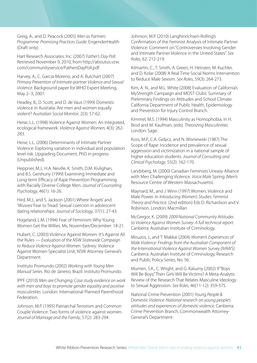Greig, A., and D. Peacock (2005) *Men as Partners Programme: Promising Practices Guide*. EngenderHealth (Draft only).

Hart Research Associates, Inc. (2007) *Father's Day Poll*. Retrieved November 9, 2010, from http://aboutus.vzw. com/communityservice/FathersDayPoll.pdf.

Harvey, A., C. Garcia-Moreno, and A. Butchart (2007) *Primary Prevention of Intimate-partner Violence and Sexual Violence*. Background paper for WHO Expert Meeting, May 2–3, 2007.

Headey, B., D. Scott, and D. de Vaus (1999) Domestic violence in Australia: Are men and women equally violent? *Australian Social Monitor*, 2(3): 57-62.

Heise, L.L. (1998) Violence Against Women: An integrated, ecological framework. *Violence Against Women*, 4(3): 262- 283.

Heise, L.L. (2006) Determinants of Intimate Partner Violence: Exploring variation in individual and population level risk. Upgrading Document, PhD in progress (Unpublished).

Heppner, M.J., H.A. Neville, K. Smith, D.M. Kivlighan, and B.S. Gershuny (1999) Examining Immediate and Long-term Efficacy of Rape Prevention Programming with Racially Diverse College Men. *Journal of Counseling Psychology*, 46(1): 16-26.

Hird, M.J., and S. Jackson (2001) Where 'Angels' and 'Wusses' Fear to Tread: Sexual coercion in adolescent dating relationships. *Journal of Sociology*, 37(1): 27-43.

Hogeland, L.M. (1994) Fear of Feminism: Why Young Women Get the Willies. Ms, November/December: 18-21.

Hubert, C. (2003) Violence Against Women: It's Against All the Rules — *Evaluation of the NSW Statewide Campaign to Reduce Violence Against Women*. Sydney: Violence Against Women Specialist Unit, NSW Attorney General's Department.

Instituto Promundo (2002) *Working with Young Men Manual Series*. Rio de Janeiro, Brazil: Instituto Promundo.

IPPF (2010) *Men are Changing: Case study evidence on work with men and boys to promote gender equality and positive masculinities*. London: International Planned Parenthood Federation.

Johnson, M.P. (1995) Patriarchal Terrorism and Common Couple Violence: Two forms of violence against women. *Journal of Marriage and the Family*, 57(2): 283-294.

Johnson, M.P. (2010) Langhinrichsen-Rolling's Confirmation of the Feminist Analysis of Intimate Partner Violence: Comment on"Controversies Involving Gender and Intimate Partner Violence in the United States". *Sex Roles*, 62: 212-219.

Kilmartin, C., T. Smith, A. Green, H. Heinzen, M. Kuchler, and D. Kolar (2008) A Real Time Social Norms Intervention to Reduce Male Sexism. *Sex Roles*, 59(3): 264-273.

Kim, A. N., and M.L. White (2008) Evaluation of California's MyStrength Campaign and MOST Clubs: Summary of Preliminary Findings on Attitudes and School Climate. California Department of Public Health, Epidemiology and Prevention for Injury Control Branch.

Kimmel, M.S. (1994) Masculinity as Homophobia. In H. Brod and M. Kaufman, (eds). *Theorizing Masculinities*. London: Sage.

Koss, M.P., C.A. Gidycz, and N. Wisniewski (1987) The Scope of Rape: Incidence and prevalence of sexual aggression and victimization in a national sample of higher education students. *Journal of Consulting and Clinical Psychology*, 55(2): 162-170.

Landsberg, M. (2000) Canadian Feminists' Uneasy Alliance with Men Challenging Violence. *Voice Male* Spring (Men's Resource Centre of Western Massachusetts).

Maynard, M., and J. Winn (1997) Women, Violence and Male Power. In *Introducing Women's Studies: Feminist Theory and Practice*. (2nd edition) Eds D. Richardson and V. Robinson. London: Macmillan

McGregor, K. (2009) *2009 National Community Attitudes to Violence Against Women Survey: A full technical report*. Canberra: Australian Institute of Criminology.

Mouzos, J., and T. Makkai (2004) *Women's Experiences of Male Violence: Findings from the Australian Component of the International Violence Against Women Survey (IVAWS)*. Canberra: Australian Institute of Criminology, Research and Public Policy Series, No. 56.

Murnen, S.K., C. Wright, and G. Kaluzny (2002) If"Boys Will Be Boys," Then Girls Will Be Victims? A Meta-Analytic Review of the Research That Relates Masculine Ideology to Sexual Aggression. *Sex Roles*, 46(11-12): 359-375.

National Crime Prevention (2001) *Young People & Domestic Violence: National research on young people's attitudes and experiences of domestic violence*. Canberra: Crime Prevention Branch, Commonwealth Attorney-General's Department.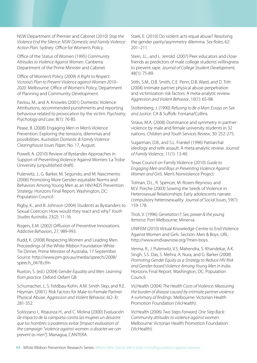NSW Department of Premier and Cabinet (2010) *Stop the Violence End the Silence: NSW Domestic and Family Violence Action Plan*. Sydney: Office for Women's Policy.

Office of the Status of Women (1995) *Community Attitudes to Violence Against Women*. Canberra: Department of the Prime Minister and Cabinet.

Office of Women's Policy (2009) *A Right to Respect: Victoria's Plan to Prevent Violence against Women 2010– 2020*. Melbourne: Office of Women's Policy, Department of Planning and Community Development.

Pavlou, M., and A. Knowles (2001) Domestic Violence: Attributions, recommended punishments and reporting behaviour related to provocation by the victim. *Psychiatry, Psychology and Law*, 8(1): 76-85.

Pease, B. (2008) Engaging Men in Men's Violence Prevention: Exploring the tensions, dilemmas and possibilities. *Australian Domestic & Family Violence Clearinghouse Issues Paper*, No. 17, August.

Powell, A. (2010) Review of Bystander Approaches in Support of Preventing Violence Against Women. La Trobe University (unpublished draft).

Pulerwitz, J., G. Barker, M. Segundo, and M. Nascimento (2006) Promoting More Gender-equitable Norms and Behaviors Among Young Men as an HIV/AIDS Prevention Strategy. Horizons Final Report. Washington, DC: Population Council.

Rigby, K., and B. Johnson (2004) Students as Bystanders to Sexual Coercion: How would they react and why? *Youth Studies Australia*, 23(2): 11-16.

Rogers, E.M. (2002) Diffusion of Preventive Innovations. *Addictive Behaviors*, 27, 989-993.

Rudd, K. (2008) Respecting Women and Leading Men. Proceedings of the White Ribbon Foundation White Tie Dinner, Prime Minister of Australia, 17 September. Source: http://www.pm.gov.au/media/speech/2008/ speech\_0478.cfm

Ruxton, S. (ed.) (2004) *Gender Equality and Men: Learning from practice*. Oxford: Oxfam GB.

Schumacher, J., S. Feldbau-Kohn, A.M. Smith Slep, and R.E. Heyman. (2001). Risk Factors for Male-to-Female Partner Physical Abuse. *Aggression and Violent Behavior*, 6(2-3): 281-352.

Solórzano I., Abaunza H., and C. Molina (2000) *Evaluación de impacto de la campaña contra las mujeres un desastre que los hombres si podemos evitar [Impact evaluation of the campaign "violence against women: a disaster we can prevent as men"]*. Managua, CANTERA.

Stark, E. (2010) Do violent acts equal abuse? Resolving the gender parity/asymmetry dilemma. *Sex Roles*, 62: 201–211.

Stein, J.L., and L. Jerrold. (2007) Peer educators and close friends as predictors of male college students' willingness to prevent rape. *Journal of College Student Development*, 48(1): 75-89.

Stith, S.M., D.B. Smith, C.E. Penn, D.B. Ward, and D. Tritt (2004) Intimate partner physical abuse perpetration and victimization risk factors: A meta-analytic review. *Aggression and Violent Behavior*, 10(1): 65-98.

Stoltenberg, J. (1990) *Refusing to Be a Man: Essays on Sex and Justice*. CA & Suffolk: Fontana/Collins.

Straus, M.A. (2008) Dominance and symmetry in partner violence by male and female university students in 32 nations. *Children and Youth Services Review*, 30: 252-275.

Sugarman, D.B., and S.L. Frankel (1996) Patriarchal ideology and wife assault: A meta-analytic review. *Journal of Family Violence*, 11(1): 13-40.

Texas Council on Family Violence (2010) *Guide to Engaging Men and Boys in Preventing Violence Against Women and Girls*. Men's Nonviolence Project

Tolman, D.L., R. Spencer, M. Rosen-Reynoso, and M.V. Porche (2003) Sowing the Seeds of Violence in Heterosexual Relationships: Early adolescents narrate compulsory heterosexuality. *Journal of Social Issues*, 59(1): 159-178.

Trioli, V. (1996) *Generation f: Sex, power & the young feminist*. Port Melbourne: Minerva.

UNIFEM (2010) Virtual Knowledge Centre to End Violence Against Women and Girls. Section: Men & Boys. URL: http://www.endvawnow.org/?men-boys.

Verma, R., J. Pulerwitz, V.S. Mahendra, S. Khandekar, A.K. Singh, S.S. Das, S. Mehra, A. Nura, and G. Barker (2008) *Promoting Gender Equity as a Strategy to Reduce HIV Risk and Gender-based Violence Among Young Men in India*. Horizons Final Report. Washington, DC: Population Council.

VicHealth (2004) *The Health Costs of Violence: Measuring the burden of disease caused by intimate partner violence. A summary of findings*. Melbourne: Victorian Health Promotion Foundation (VicHealth).

VicHealth (2006) *Two Steps Forward, One Step Back: Community attitudes to violence against women*. Melbourne: Victorian Health Promotion Foundation (VicHealth).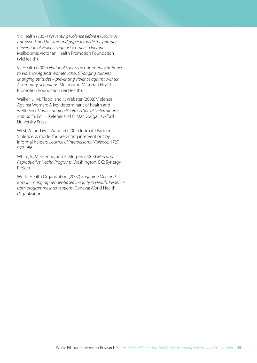VicHealth (2007) *Preventing Violence Before It Occurs: A framework and background paper to guide the primary prevention of violence against women in Victoria*. Melbourne: Victorian Health Promotion Foundation (VicHealth).

VicHealth (2009) *National Survey on Community Attitudes to Violence Against Women 2009: Changing cultures, changing attitudes – preventing violence against women, A summary of findings*. Melbourne: Victorian Health Promotion Foundation (VicHealth).

Walker, L., M. Flood, and K. Webster (2008) Violence Against Women: A key determinant of health and wellbeing. *Understanding Health: A Social Determinants Approach*. Ed. H. Keleher and C. MacDougall. Oxford University Press.

West, A., and M.L. Wandrei (2002) Intimate Partner Violence: A model for predicting interventions by informal helpers. *Journal of Interpersonal Violence*, 17(9): 972-986.

White, V., M. Greene, and E. Murphy (2003) *Men and Reproductive Health Programs*. Washington, DC: Synergy Project.

World Health Organization (2007) *Engaging Men and Boys in Changing Gender-Based Inequity in Health: Evidence from programme interventions*. Geneva: World Health Organization.